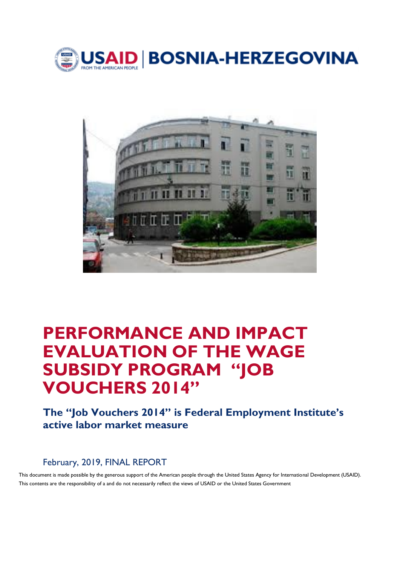



# **PERFORMANCE AND IMPACT EVALUATION OF THE WAGE SUBSIDY PROGRAM "JOB VOUCHERS 2014"**

**The "Job Vouchers 2014" is Federal Employment Institute's active labor market measure**

February, 2019, FINAL REPORT

This document is made possible by the generous support of the American people through the United States Agency for International Development (USAID). This contents are the responsibility of a and do not necessarily reflect the views of USAID or the United States Government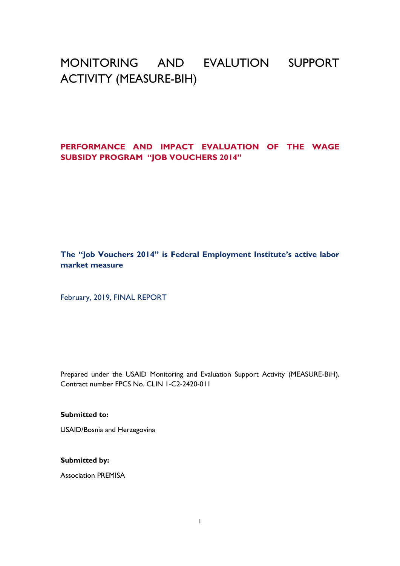# MONITORING AND EVALUTION SUPPORT ACTIVITY (MEASURE-BIH)

### **PERFORMANCE AND IMPACT EVALUATION OF THE WAGE SUBSIDY PROGRAM "JOB VOUCHERS 2014"**

**The "Job Vouchers 2014" is Federal Employment Institute's active labor market measure**

February, 2019, FINAL REPORT

Prepared under the USAID Monitoring and Evaluation Support Activity (MEASURE-BiH), Contract number FPCS No. CLIN 1-C2-2420-011

**Submitted to:**

USAID/Bosnia and Herzegovina

**Submitted by:**

Association PREMISA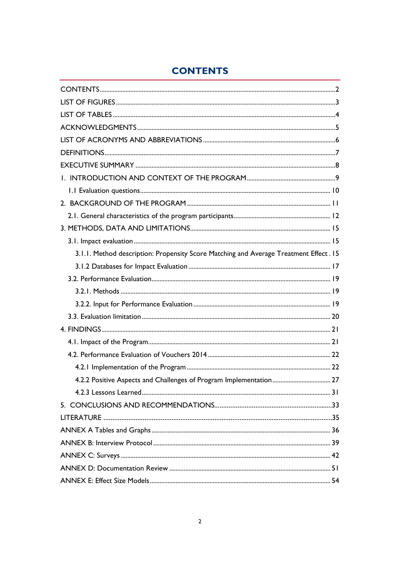# **CONTENTS**

<span id="page-2-0"></span>

| 3.1.1. Method description: Propensity Score Matching and Average Treatment Effect. 15 |
|---------------------------------------------------------------------------------------|
|                                                                                       |
|                                                                                       |
|                                                                                       |
|                                                                                       |
|                                                                                       |
|                                                                                       |
|                                                                                       |
|                                                                                       |
|                                                                                       |
|                                                                                       |
|                                                                                       |
|                                                                                       |
|                                                                                       |
|                                                                                       |
|                                                                                       |
|                                                                                       |
|                                                                                       |
|                                                                                       |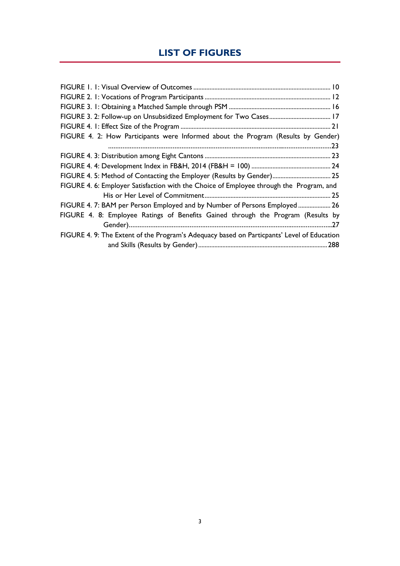# **LIST OF FIGURES**

<span id="page-3-0"></span>

| FIGURE 4. 2: How Participants were Informed about the Program (Results by Gender)          |
|--------------------------------------------------------------------------------------------|
|                                                                                            |
|                                                                                            |
|                                                                                            |
| FIGURE 4. 5: Method of Contacting the Employer (Results by Gender) 25                      |
| FIGURE 4. 6: Employer Satisfaction with the Choice of Employee through the Program, and    |
|                                                                                            |
| FIGURE 4. 7: BAM per Person Employed and by Number of Persons Employed  26                 |
| FIGURE 4. 8: Employee Ratings of Benefits Gained through the Program (Results by           |
|                                                                                            |
| FIGURE 4. 9: The Extent of the Program's Adequacy based on Particpants' Level of Education |
|                                                                                            |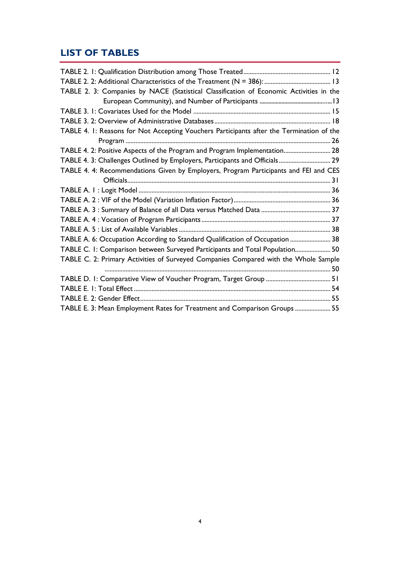# <span id="page-4-0"></span>**LIST OF TABLES**

| TABLE 2. 3: Companies by NACE (Statistical Classification of Economic Activities in the  |  |
|------------------------------------------------------------------------------------------|--|
|                                                                                          |  |
|                                                                                          |  |
|                                                                                          |  |
| TABLE 4. I: Reasons for Not Accepting Vouchers Participants after the Termination of the |  |
|                                                                                          |  |
| TABLE 4. 2: Positive Aspects of the Program and Program Implementation 28                |  |
| TABLE 4. 3: Challenges Outlined by Employers, Participants and Officials 29              |  |
| TABLE 4. 4: Recommendations Given by Employers, Program Participants and FEI and CES     |  |
|                                                                                          |  |
|                                                                                          |  |
|                                                                                          |  |
|                                                                                          |  |
|                                                                                          |  |
|                                                                                          |  |
| TABLE A. 6: Occupation According to Standard Qualification of Occupation  38             |  |
| TABLE C. I: Comparison between Surveyed Participants and Total Population 50             |  |
| TABLE C. 2: Primary Activities of Surveyed Companies Compared with the Whole Sample      |  |
|                                                                                          |  |
|                                                                                          |  |
|                                                                                          |  |
|                                                                                          |  |
| TABLE E. 3: Mean Employment Rates for Treatment and Comparison Groups  55                |  |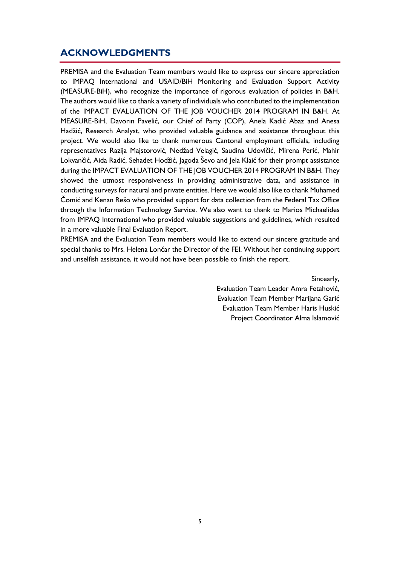## <span id="page-5-0"></span>**ACKNOWLEDGMENTS**

PREMISA and the Evaluation Team members would like to express our sincere appreciation to IMPAQ International and USAID/BiH Monitoring and Evaluation Support Activity (MEASURE-BiH), who recognize the importance of rigorous evaluation of policies in B&H. The authors would like to thank a variety of individuals who contributed to the implementation of the IMPACT EVALUATION OF THE JOB VOUCHER 2014 PROGRAM IN B&H. At MEASURE-BiH, Davorin Pavelić, our Chief of Party (COP), Anela Kadić Abaz and Anesa Hadžić, Research Analyst, who provided valuable guidance and assistance throughout this project. We would also like to thank numerous Cantonal employment officials, including representatives Razija Majstorović, Nedžad Velagić, Saudina Udovičić, Mirena Perić, Mahir Lokvančić, Aida Radić, Sehadet Hodžić, Jagoda Ševo and Jela Klaić for their prompt assistance during the IMPACT EVALUATION OF THE JOB VOUCHER 2014 PROGRAM IN B&H. They showed the utmost responsiveness in providing administrative data, and assistance in conducting surveys for natural and private entities. Here we would also like to thank Muhamed Čomić and Kenan Rešo who provided support for data collection from the Federal Tax Office through the Information Technology Service. We also want to thank to Marios Michaelides from IMPAQ International who provided valuable suggestions and guidelines, which resulted in a more valuable Final Evaluation Report.

PREMISA and the Evaluation Team members would like to extend our sincere gratitude and special thanks to Mrs. Helena Lončar the Director of the FEI. Without her continuing support and unselfish assistance, it would not have been possible to finish the report.

Sincearly,

Evaluation Team Leader Amra Fetahović, Evaluation Team Member Marijana Garić Evaluation Team Member Haris Huskić Project Coordinator Alma Islamović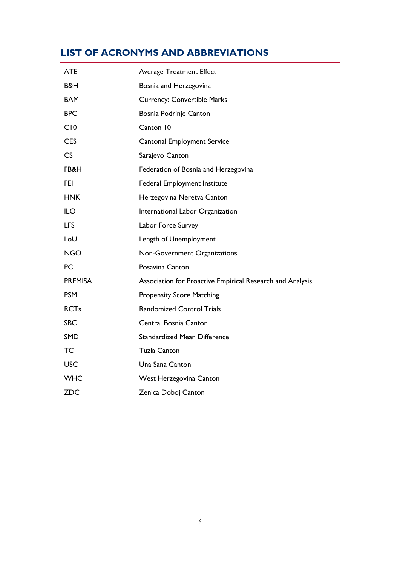# <span id="page-6-0"></span>**LIST OF ACRONYMS AND ABBREVIATIONS**

| <b>ATE</b>     | <b>Average Treatment Effect</b>                           |
|----------------|-----------------------------------------------------------|
| B&H            | Bosnia and Herzegovina                                    |
| <b>BAM</b>     | <b>Currency: Convertible Marks</b>                        |
| <b>BPC</b>     | Bosnia Podrinje Canton                                    |
| C10            | Canton 10                                                 |
| <b>CES</b>     | Cantonal Employment Service                               |
| CS             | Sarajevo Canton                                           |
| FB&H           | Federation of Bosnia and Herzegovina                      |
| FEI.           | Federal Employment Institute                              |
| <b>HNK</b>     | Herzegovina Neretva Canton                                |
| <b>ILO</b>     | International Labor Organization                          |
| <b>LFS</b>     | Labor Force Survey                                        |
| LoU            | Length of Unemployment                                    |
| <b>NGO</b>     | Non-Government Organizations                              |
| <b>PC</b>      | Posavina Canton                                           |
| <b>PREMISA</b> | Association for Proactive Empirical Research and Analysis |
| <b>PSM</b>     | <b>Propensity Score Matching</b>                          |
| <b>RCTs</b>    | <b>Randomized Control Trials</b>                          |
| <b>SBC</b>     | Central Bosnia Canton                                     |
| <b>SMD</b>     | <b>Standardized Mean Difference</b>                       |
| <b>TC</b>      | <b>Tuzla Canton</b>                                       |
| <b>USC</b>     | Una Sana Canton                                           |
| <b>WHC</b>     | West Herzegovina Canton                                   |
| <b>ZDC</b>     | Zenica Doboj Canton                                       |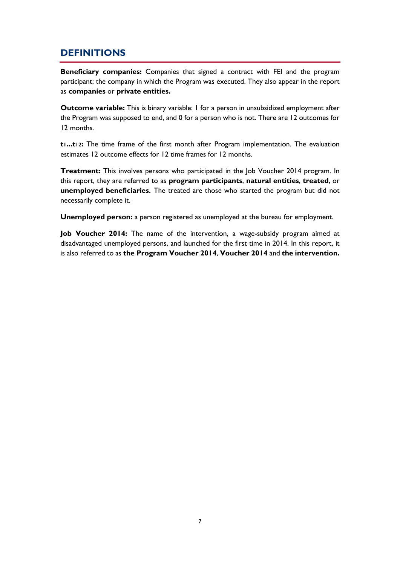# <span id="page-7-0"></span>**DEFINITIONS**

**Beneficiary companies:** Companies that signed a contract with FEI and the program participant; the company in which the Program was executed. They also appear in the report as **companies** or **private entities.**

**Outcome variable:** This is binary variable: 1 for a person in unsubsidized employment after the Program was supposed to end, and 0 for a person who is not. There are 12 outcomes for 12 months.

**t1...t12:** The time frame of the first month after Program implementation. The evaluation estimates 12 outcome effects for 12 time frames for 12 months.

**Treatment:** This involves persons who participated in the Job Voucher 2014 program. In this report, they are referred to as **program participants**, **natural entities**, **treated**, or **unemployed beneficiaries.** The treated are those who started the program but did not necessarily complete it.

**Unemployed person:** a person registered as unemployed at the bureau for employment.

**Job Voucher 2014:** The name of the intervention, a wage-subsidy program aimed at disadvantaged unemployed persons, and launched for the first time in 2014. In this report, it is also referred to as **the Program Voucher 2014**, **Voucher 2014** and **the intervention.**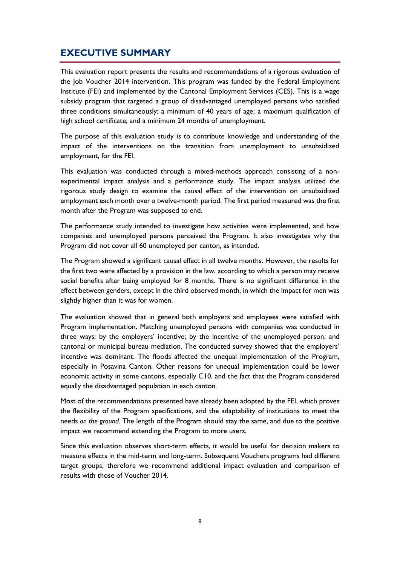# <span id="page-8-0"></span>**EXECUTIVE SUMMARY**

This evaluation report presents the results and recommendations of a rigorous evaluation of the Job Voucher 2014 intervention. This program was funded by the Federal Employment Institute (FEI) and implemented by the Cantonal Employment Services (CES). This is a wage subsidy program that targeted a group of disadvantaged unemployed persons who satisfied three conditions simultaneously: a minimum of 40 years of age; a maximum qualification of high school certificate; and a minimum 24 months of unemployment.

The purpose of this evaluation study is to contribute knowledge and understanding of the impact of the interventions on the transition from unemployment to unsubsidized employment, for the FEI.

This evaluation was conducted through a mixed-methods approach consisting of a nonexperimental impact analysis and a performance study. The impact analysis utilized the rigorous study design to examine the causal effect of the intervention on unsubsidized employment each month over a twelve-month period. The first period measured was the first month after the Program was supposed to end.

The performance study intended to investigate how activities were implemented, and how companies and unemployed persons perceived the Program. It also investigates why the Program did not cover all 60 unemployed per canton, as intended.

The Program showed a significant causal effect in all twelve months. However, the results for the first two were affected by a provision in the law, according to which a person may receive social benefits after being employed for 8 months. There is no significant difference in the effect between genders, except in the third observed month, in which the impact for men was slightly higher than it was for women.

The evaluation showed that in general both employers and employees were satisfied with Program implementation. Matching unemployed persons with companies was conducted in three ways: by the employers' incentive; by the incentive of the unemployed person; and cantonal or municipal bureau mediation. The conducted survey showed that the employers' incentive was dominant. The floods affected the unequal implementation of the Program, especially in Posavina Canton. Other reasons for unequal implementation could be lower economic activity in some cantons, especially C10, and the fact that the Program considered equally the disadvantaged population in each canton.

Most of the recommendations presented have already been adopted by the FEI, which proves the flexibility of the Program specifications, and the adaptability of institutions to meet the needs *on the ground.* The length of the Program should stay the same, and due to the positive impact we recommend extending the Program to more users.

Since this evaluation observes short-term effects, it would be useful for decision makers to measure effects in the mid-term and long-term. Subsequent Vouchers programs had different target groups; therefore we recommend additional impact evaluation and comparison of results with those of Voucher 2014.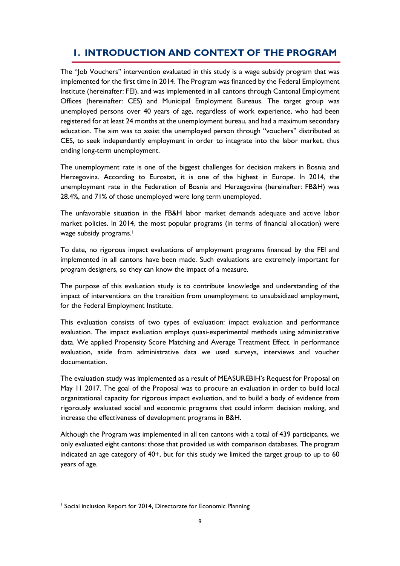# <span id="page-9-0"></span>**1. INTRODUCTION AND CONTEXT OF THE PROGRAM**

The "Job Vouchers" intervention evaluated in this study is a wage subsidy program that was implemented for the first time in 2014. The Program was financed by the Federal Employment Institute (hereinafter: FEI), and was implemented in all cantons through Cantonal Employment Offices (hereinafter: CES) and Municipal Employment Bureaus. The target group was unemployed persons over 40 years of age, regardless of work experience, who had been registered for at least 24 months at the unemployment bureau, and had a maximum secondary education. The aim was to assist the unemployed person through "vouchers" distributed at CES, to seek independently employment in order to integrate into the labor market, thus ending long-term unemployment.

The unemployment rate is one of the biggest challenges for decision makers in Bosnia and Herzegovina. According to Eurostat, it is one of the highest in Europe. In 2014, the unemployment rate in the Federation of Bosnia and Herzegovina (hereinafter: FB&H) was 28.4%, and 71% of those unemployed were long term unemployed.

The unfavorable situation in the FB&H labor market demands adequate and active labor market policies. In 2014, the most popular programs (in terms of financial allocation) were wage subsidy programs.<sup>1</sup>

To date, no rigorous impact evaluations of employment programs financed by the FEI and implemented in all cantons have been made. Such evaluations are extremely important for program designers, so they can know the impact of a measure.

The purpose of this evaluation study is to contribute knowledge and understanding of the impact of interventions on the transition from unemployment to unsubsidized employment, for the Federal Employment Institute.

This evaluation consists of two types of evaluation: impact evaluation and performance evaluation. The impact evaluation employs quasi-experimental methods using administrative data. We applied Propensity Score Matching and Average Treatment Effect. In performance evaluation, aside from administrative data we used surveys, interviews and voucher documentation.

The evaluation study was implemented as a result of MEASUREBIH's Request for Proposal on May 11 2017. The goal of the Proposal was to procure an evaluation in order to build local organizational capacity for rigorous impact evaluation, and to build a body of evidence from rigorously evaluated social and economic programs that could inform decision making, and increase the effectiveness of development programs in B&H.

Although the Program was implemented in all ten cantons with a total of 439 participants, we only evaluated eight cantons: those that provided us with comparison databases. The program indicated an age category of 40+, but for this study we limited the target group to up to 60 years of age.

<sup>1</sup> <sup>1</sup> Social inclusion Report for 2014, Directorate for Economic Planning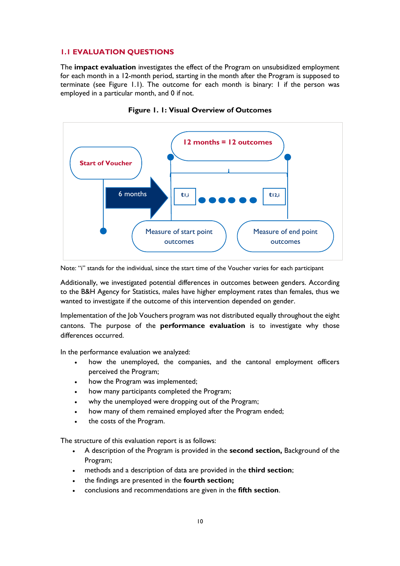#### <span id="page-10-0"></span>**1.1 EVALUATION QUESTIONS**

The **impact evaluation** investigates the effect of the Program on unsubsidized employment for each month in a 12-month period, starting in the month after the Program is supposed to terminate (see Figure 1.1). The outcome for each month is binary: 1 if the person was employed in a particular month, and 0 if not.

<span id="page-10-1"></span>



Note: "i" stands for the individual, since the start time of the Voucher varies for each participant

Additionally, we investigated potential differences in outcomes between genders. According to the B&H Agency for Statistics, males have higher employment rates than females, thus we wanted to investigate if the outcome of this intervention depended on gender.

Implementation of the Job Vouchers program was not distributed equally throughout the eight cantons. The purpose of the **performance evaluation** is to investigate why those differences occurred.

In the performance evaluation we analyzed:

- how the unemployed, the companies, and the cantonal employment officers perceived the Program;
- how the Program was implemented;
- how many participants completed the Program;
- why the unemployed were dropping out of the Program;
- how many of them remained employed after the Program ended;
- the costs of the Program.

The structure of this evaluation report is as follows:

- A description of the Program is provided in the **second section,** Background of the Program;
- methods and a description of data are provided in the **third section**;
- the findings are presented in the **fourth section;**
- conclusions and recommendations are given in the **fifth section**.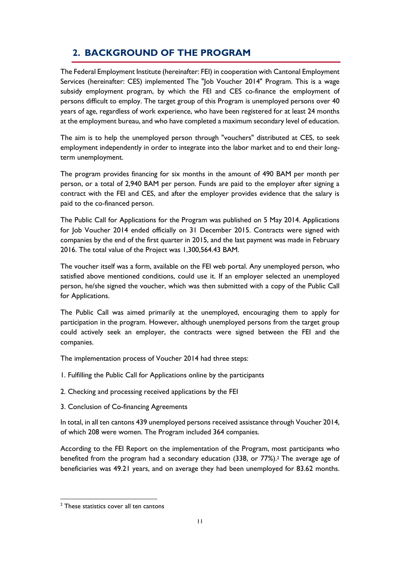# <span id="page-11-0"></span>**2. BACKGROUND OF THE PROGRAM**

The Federal Employment Institute (hereinafter: FEI) in cooperation with Cantonal Employment Services (hereinafter: CES) implemented The "Job Voucher 2014" Program. This is a wage subsidy employment program, by which the FEI and CES co-finance the employment of persons difficult to employ. The target group of this Program is unemployed persons over 40 years of age, regardless of work experience, who have been registered for at least 24 months at the employment bureau, and who have completed a maximum secondary level of education.

The aim is to help the unemployed person through "vouchers" distributed at CES, to seek employment independently in order to integrate into the labor market and to end their longterm unemployment.

The program provides financing for six months in the amount of 490 BAM per month per person, or a total of 2,940 BAM per person. Funds are paid to the employer after signing a contract with the FEI and CES, and after the employer provides evidence that the salary is paid to the co-financed person.

The Public Call for Applications for the Program was published on 5 May 2014. Applications for Job Voucher 2014 ended officially on 31 December 2015. Contracts were signed with companies by the end of the first quarter in 2015, and the last payment was made in February 2016. The total value of the Project was 1,300,564.43 BAM.

The voucher itself was a form, available on the FEI web portal. Any unemployed person, who satisfied above mentioned conditions, could use it. If an employer selected an unemployed person, he/she signed the voucher, which was then submitted with a copy of the Public Call for Applications.

The Public Call was aimed primarily at the unemployed, encouraging them to apply for participation in the program. However, although unemployed persons from the target group could actively seek an employer, the contracts were signed between the FEI and the companies.

The implementation process of Voucher 2014 had three steps:

- 1. Fulfilling the Public Call for Applications online by the participants
- 2. Checking and processing received applications by the FEI
- 3. Conclusion of Co-financing Agreements

In total, in all ten cantons 439 unemployed persons received assistance through Voucher 2014, of which 208 were women. The Program included 364 companies.

According to the FEI Report on the implementation of the Program, most participants who benefited from the program had a secondary education (338, or 77%).<sup>2</sup> The average age of beneficiaries was 49.21 years, and on average they had been unemployed for 83.62 months.

1

<sup>&</sup>lt;sup>2</sup> These statistics cover all ten cantons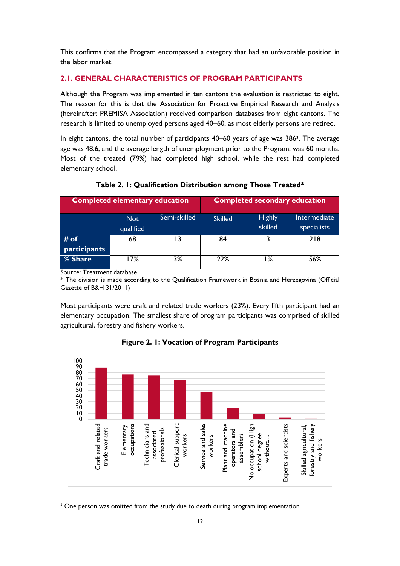This confirms that the Program encompassed a category that had an unfavorable position in the labor market.

#### <span id="page-12-0"></span>**2.1. GENERAL CHARACTERISTICS OF PROGRAM PARTICIPANTS**

Although the Program was implemented in ten cantons the evaluation is restricted to eight. The reason for this is that the Association for Proactive Empirical Research and Analysis (hereinafter: PREMISA Association) received comparison databases from eight cantons. The research is limited to unemployed persons aged 40–60, as most elderly persons are retired.

In eight cantons, the total number of participants 40–60 years of age was 386<sup>3</sup>. The average age was 48.6, and the average length of unemployment prior to the Program, was 60 months. Most of the treated (79%) had completed high school, while the rest had completed elementary school.

<span id="page-12-2"></span>

| <b>Completed elementary education</b> |                         | <b>Completed secondary education</b> |                |                          |                             |
|---------------------------------------|-------------------------|--------------------------------------|----------------|--------------------------|-----------------------------|
|                                       | <b>Not</b><br>qualified | Semi-skilled                         | <b>Skilled</b> | <b>Highly</b><br>skilled | Intermediate<br>specialists |
| # of<br>participants                  | 68                      | 13                                   | 84             |                          | 218                         |
| % Share                               | 7%                      | 3%                                   | 22%            | ۱%                       | 56%                         |

**Table 2. 1: Qualification Distribution among Those Treated\***

Source: Treatment database

\* The division is made according to the Qualification Framework in Bosnia and Herzegovina (Official Gazette of B&H 31/2011)

Most participants were craft and related trade workers (23%). Every fifth participant had an elementary occupation. The smallest share of program participants was comprised of skilled agricultural, forestry and fishery workers.

<span id="page-12-1"></span>

**Figure 2. 1: Vocation of Program Participants**

<sup>1</sup> <sup>3</sup> One person was omitted from the study due to death during program implementation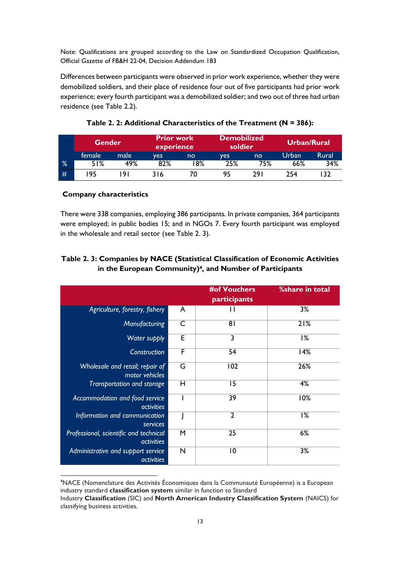Note: Qualifications are grouped according to the Law on Standardized Occupation Qualification, Official Gazette of FB&H 22-04, Decision Addendum 183

Differences between participants were observed in prior work experience, whether they were demobilized soldiers, and their place of residence four out of five participants had prior work experience; every fourth participant was a demobilized soldier; and two out of three had urban residence (see Table 2.2).

<span id="page-13-0"></span>

|   | <b>Prior work</b><br><b>Gender</b><br>experience |      |     | <b>Demobilized</b><br>soldier |     | Urban/Rural |       |       |
|---|--------------------------------------------------|------|-----|-------------------------------|-----|-------------|-------|-------|
|   | female                                           | male | ves | no                            | ves | no          | Urban | Rural |
| % | 51%                                              | 49%  | 82% | 8%                            | 25% | 75%         | 66%   | 34%   |
| # | 95                                               | 91   | 316 | 70                            | 95  | 29 I        | 254   | ∣32   |

**Table 2. 2: Additional Characteristics of the Treatment (N = 386):**

#### **Company characteristics**

There were 338 companies, employing 386 participants. In private companies, 364 participants were employed; in public bodies 15; and in NGOs 7. Every fourth participant was employed in the wholesale and retail sector (see Table 2. 3).

#### **Table 2. 3: Companies by NACE (Statistical Classification of Economic Activities in the European Community)4, and Number of Participants**

|                                                             |                         | <b>#of Vouchers</b><br>participants | %share in total   |
|-------------------------------------------------------------|-------------------------|-------------------------------------|-------------------|
| Agriculture, forestry, fishery                              | A                       | Ħ                                   | 3%                |
| Manufacturing                                               | $\mathsf{C}$            | 8 <sub>1</sub>                      | $\overline{2}1\%$ |
| Water supply                                                | E                       | 3                                   | 1%                |
| <b>Construction</b>                                         | F                       | 54                                  | 14%               |
| Wholesale and retail; repair of<br>motor vehicles           | $\overline{\mathsf{G}}$ | 102                                 | 26%               |
| Transportation and storage                                  | Н                       | 15                                  | 4%                |
| Accommodation and food service<br><i>activities</i>         |                         | 39                                  | 10%               |
| Information and communication<br>services                   |                         | $\overline{2}$                      | 1%                |
| Professional, scientific and technical<br><i>activities</i> | M                       | 25                                  | 6%                |
| Administrative and support service<br><i>activities</i>     | N                       | 10                                  | 3%                |

1 <sup>4</sup>NACE (Nomenclature des Activités Économiques dans la Communauté Européenne) is a European industry standard **classification system** similar in function to Standard

Industry **Classification** (SIC) and **North American Industry Classification System** (NAICS) for classifying business activities.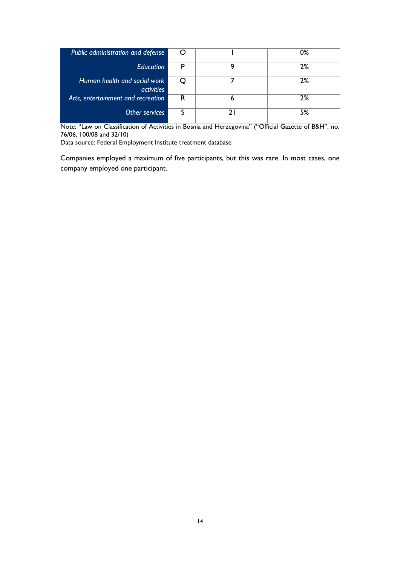| Public administration and defense                 | O |   | 0% |
|---------------------------------------------------|---|---|----|
| <b>Education</b>                                  | Р |   | 2% |
| Human health and social work<br><i>activities</i> | Ő |   | 2% |
| Arts, entertainment and recreation                | R | 6 | 2% |
| Other services                                    |   |   | 5% |

Note: "Law on Classification of Activities in Bosnia and Herzegovina" ("Official Gazette of B&H", no. 76/06, 100/08 and 32/10)

Data source: Federal Employment Institute treatment database

Companies employed a maximum of five participants, but this was rare. In most cases, one company employed one participant.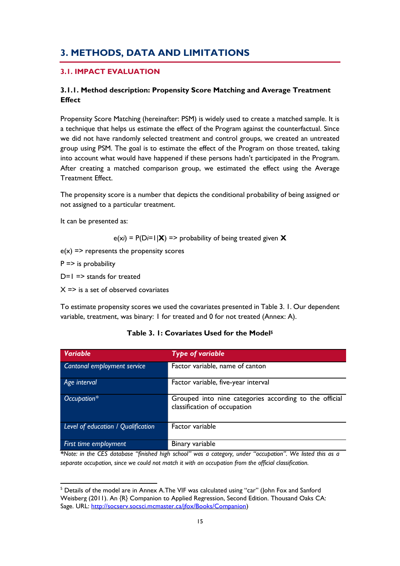# <span id="page-15-0"></span>**3. METHODS, DATA AND LIMITATIONS**

#### <span id="page-15-1"></span>**3.1. IMPACT EVALUATION**

#### <span id="page-15-2"></span>**3.1.1. Method description: Propensity Score Matching and Average Treatment Effect**

Propensity Score Matching (hereinafter: PSM) is widely used to create a matched sample. It is a technique that helps us estimate the effect of the Program against the counterfactual. Since we did not have randomly selected treatment and control groups, we created an untreated group using PSM. The goal is to estimate the effect of the Program on those treated, taking into account what would have happened if these persons hadn't participated in the Program. After creating a matched comparison group, we estimated the effect using the Average Treatment Effect.

The propensity score is a number that depicts the conditional probability of being assigned or not assigned to a particular treatment.

It can be presented as:

e(x*i*) = P(D*i*=1|**X**) => probability of being treated given **X**

 $e(x)$  => represents the propensity scores

 $P \Rightarrow$  is probability

**.** 

 $D=1 \Rightarrow$  stands for treated

 $X \Rightarrow$  is a set of observed covariates

To estimate propensity scores we used the covariates presented in Table 3. 1. Our dependent variable, treatment, was binary: 1 for treated and 0 for not treated (Annex: A).

<span id="page-15-3"></span>

| <b>Variable</b>                    | <b>Type of variable</b>                                                                |
|------------------------------------|----------------------------------------------------------------------------------------|
| Cantonal employment service        | Factor variable, name of canton                                                        |
| Age interval                       | Factor variable, five-year interval                                                    |
| Occupation*                        | Grouped into nine categories according to the official<br>classification of occupation |
| Level of education / Qualification | Factor variable                                                                        |
| First time employment              | Binary variable                                                                        |

#### **Table 3. 1: Covariates Used for the Model<sup>5</sup>**

*\*Note: in the CES database "finished high school" was a category, under "occupation". We listed this as a separate occupation, since we could not match it with an occupation from the official classification.* 

<sup>&</sup>lt;sup>5</sup> Details of the model are in Annex A. The VIF was calculated using "car" (John Fox and Sanford Weisberg (2011). An {R} Companion to Applied Regression, Second Edition. Thousand Oaks CA: Sage. URL: [http://socserv.socsci.mcmaster.ca/jfox/Books/Companion\)](http://socserv.socsci.mcmaster.ca/jfox/Books/Companion)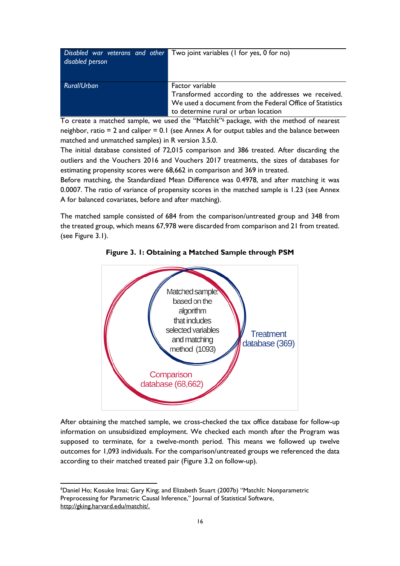| disabled person | Disabled war veterans and other Two joint variables (I for yes, 0 for no)                                                                                                  |
|-----------------|----------------------------------------------------------------------------------------------------------------------------------------------------------------------------|
| Rural/Urban     | Factor variable<br>Transformed according to the addresses we received.<br>We used a document from the Federal Office of Statistics<br>to determine rural or urban location |

To create a matched sample, we used the "MatchIt"<sup>6</sup> package, with the method of nearest neighbor, ratio = 2 and caliper = 0.1 (see Annex A for output tables and the balance between matched and unmatched samples) in R version 3.5.0.

The initial database consisted of 72,015 comparison and 386 treated. After discarding the outliers and the Vouchers 2016 and Vouchers 2017 treatments, the sizes of databases for estimating propensity scores were 68,662 in comparison and 369 in treated.

Before matching, the Standardized Mean Difference was 0.4978, and after matching it was 0.0007. The ratio of variance of propensity scores in the matched sample is 1.23 (see Annex A for balanced covariates, before and after matching).

<span id="page-16-0"></span>The matched sample consisted of 684 from the comparison/untreated group and 348 from the treated group, which means 67,978 were discarded from comparison and 21 from treated. (see Figure 3.1).





After obtaining the matched sample, we cross-checked the tax office database for follow-up information on unsubsidized employment. We checked each month after the Program was supposed to terminate, for a twelve-month period. This means we followed up twelve outcomes for 1,093 individuals. For the comparison/untreated groups we referenced the data according to their matched treated pair (Figure 3.2 on follow-up).

**.** 

<sup>6</sup>Daniel Ho; Kosuke Imai; Gary King; and Elizabeth Stuart (2007b) "MatchIt: Nonparametric Preprocessing for Parametric Causal Inference," Journal of Statistical Software, [http://gking.harvard.edu/matchit/.](http://gking.harvard.edu/matchit/)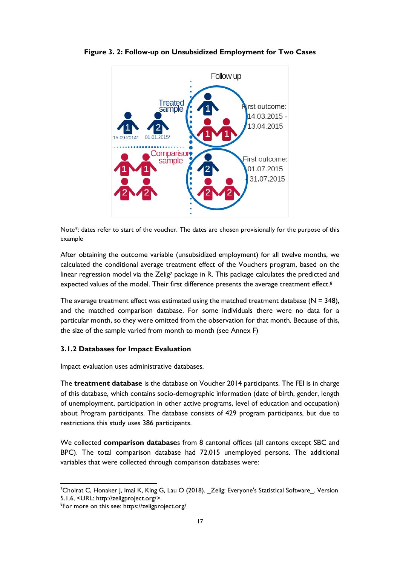

<span id="page-17-1"></span>**Figure 3. 2: Follow-up on Unsubsidized Employment for Two Cases**

Note\*: dates refer to start of the voucher. The dates are chosen provisionally for the purpose of this example

After obtaining the outcome variable (unsubsidized employment) for all twelve months, we calculated the conditional average treatment effect of the Vouchers program, based on the linear regression model via the Zelig<sup>7</sup> package in R. This package calculates the predicted and expected values of the model. Their first difference presents the average treatment effect.<sup>8</sup>

The average treatment effect was estimated using the matched treatment database ( $N = 348$ ), and the matched comparison database. For some individuals there were no data for a particular month, so they were omitted from the observation for that month. Because of this, the size of the sample varied from month to month (see Annex F)

#### <span id="page-17-0"></span>**3.1.2 Databases for Impact Evaluation**

Impact evaluation uses administrative databases.

The **treatment database** is the database on Voucher 2014 participants. The FEI is in charge of this database, which contains socio-demographic information (date of birth, gender, length of unemployment, participation in other active programs, level of education and occupation) about Program participants. The database consists of 429 program participants, but due to restrictions this study uses 386 participants.

We collected **comparison database**s from 8 cantonal offices (all cantons except SBC and BPC). The total comparison database had 72,015 unemployed persons. The additional variables that were collected through comparison databases were:

**<sup>.</sup>**  $^7$ Choirat C, Honaker J, Imai K, King G, Lau O (2018). \_Zelig: Everyone's Statistical Software\_. Version 5.1.6, <URL: http://zeligproject.org/>.

<sup>&</sup>lt;sup>8</sup>For more on this see: https://zeligproject.org/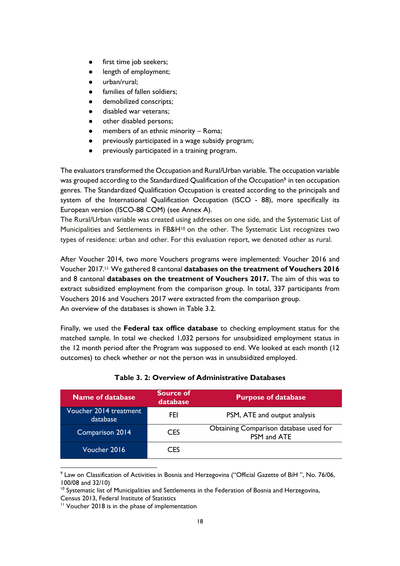- first time job seekers;
- length of employment;
- urban/rural;
- families of fallen soldiers;
- demobilized conscripts;
- disabled war veterans;
- other disabled persons;
- members of an ethnic minority Roma;
- previously participated in a wage subsidy program;
- previously participated in a training program.

The evaluators transformed the Occupation and Rural/Urban variable. The occupation variable was grouped according to the Standardized Qualification of the Occupation<sup>9</sup> in ten occupation genres. The Standardized Qualification Occupation is created according to the principals and system of the International Qualification Occupation (ISCO - 88), more specifically its European version (ISCO-88 COM) (see Annex A).

The Rural/Urban variable was created using addresses on one side, and the Systematic List of Municipalities and Settlements in FB&H<sup>10</sup> on the other. The Systematic List recognizes two types of residence: urban and other. For this evaluation report, we denoted other as rural.

After Voucher 2014, two more Vouchers programs were implemented: Voucher 2016 and Voucher 2017.<sup>11</sup> We gathered 8 cantonal **databases on the treatment of Vouchers 2016** and 8 cantonal **databases on the treatment of Vouchers 2017.** The aim of this was to extract subsidized employment from the comparison group. In total, 337 participants from Vouchers 2016 and Vouchers 2017 were extracted from the comparison group. An overview of the databases is shown in Table 3.2.

Finally, we used the **Federal tax office database** to checking employment status for the matched sample. In total we checked 1,032 persons for unsubsidized employment status in the 12 month period after the Program was supposed to end. We looked at each month (12 outcomes) to check whether or not the person was in unsubsidized employed.

<span id="page-18-0"></span>

| <b>Name of database</b>            | Source of<br>database | <b>Purpose of database</b>                            |
|------------------------------------|-----------------------|-------------------------------------------------------|
| Voucher 2014 treatment<br>database | FEI                   | PSM, ATE and output analysis                          |
| Comparison 2014                    | CES                   | Obtaining Comparison database used for<br>PSM and ATE |
| Voucher 2016                       | CES                   |                                                       |

#### **Table 3. 2: Overview of Administrative Databases**

1

<sup>&</sup>lt;sup>9</sup> Law on Classification of Activities in Bosnia and Herzegovina ("Official Gazette of BiH ", No. 76/06, 100/08 and 32/10)

 $10$  Systematic list of Municipalities and Settlements in the Federation of Bosnia and Herzegovina, Census 2013, Federal Institute of Statistics

<sup>&</sup>lt;sup>11</sup> Voucher 2018 is in the phase of implementation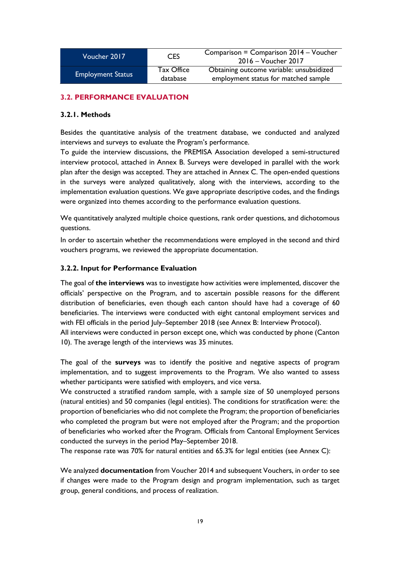| Voucher 2017             | <b>CES</b>             | Comparison = Comparison 2014 – Voucher<br>$2016 - V$ oucher $2017$               |
|--------------------------|------------------------|----------------------------------------------------------------------------------|
| <b>Employment Status</b> | Tax Office<br>database | Obtaining outcome variable: unsubsidized<br>employment status for matched sample |

#### <span id="page-19-0"></span>**3.2. PERFORMANCE EVALUATION**

#### <span id="page-19-1"></span>**3.2.1. Methods**

Besides the quantitative analysis of the treatment database, we conducted and analyzed interviews and surveys to evaluate the Program's performance.

To guide the interview discussions, the PREMISA Association developed a semi-structured interview protocol, attached in Annex B. Surveys were developed in parallel with the work plan after the design was accepted. They are attached in Annex C. The open-ended questions in the surveys were analyzed qualitatively, along with the interviews, according to the implementation evaluation questions. We gave appropriate descriptive codes, and the findings were organized into themes according to the performance evaluation questions.

We quantitatively analyzed multiple choice questions, rank order questions, and dichotomous questions.

In order to ascertain whether the recommendations were employed in the second and third vouchers programs, we reviewed the appropriate documentation.

#### <span id="page-19-2"></span>**3.2.2. Input for Performance Evaluation**

The goal of **the interviews** was to investigate how activities were implemented, discover the officials' perspective on the Program, and to ascertain possible reasons for the different distribution of beneficiaries, even though each canton should have had a coverage of 60 beneficiaries. The interviews were conducted with eight cantonal employment services and with FEI officials in the period July–September 2018 (see Annex B: Interview Protocol).

All interviews were conducted in person except one, which was conducted by phone (Canton 10). The average length of the interviews was 35 minutes.

The goal of the **surveys** was to identify the positive and negative aspects of program implementation, and to suggest improvements to the Program. We also wanted to assess whether participants were satisfied with employers, and vice versa.

We constructed a stratified random sample, with a sample size of 50 unemployed persons (natural entities) and 50 companies (legal entities). The conditions for stratification were: the proportion of beneficiaries who did not complete the Program; the proportion of beneficiaries who completed the program but were not employed after the Program; and the proportion of beneficiaries who worked after the Program. Officials from Cantonal Employment Services conducted the surveys in the period May–September 2018.

The response rate was 70% for natural entities and 65.3% for legal entities (see Annex C):

We analyzed **documentation** from Voucher 2014 and subsequent Vouchers, in order to see if changes were made to the Program design and program implementation, such as target group, general conditions, and process of realization.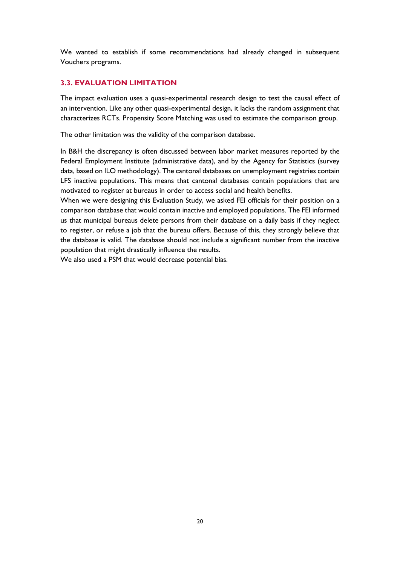We wanted to establish if some recommendations had already changed in subsequent Vouchers programs.

#### <span id="page-20-0"></span>**3.3. EVALUATION LIMITATION**

The impact evaluation uses a quasi-experimental research design to test the causal effect of an intervention. Like any other quasi-experimental design, it lacks the random assignment that characterizes RCTs. Propensity Score Matching was used to estimate the comparison group.

The other limitation was the validity of the comparison database.

In B&H the discrepancy is often discussed between labor market measures reported by the Federal Employment Institute (administrative data), and by the Agency for Statistics (survey data, based on ILO methodology). The cantonal databases on unemployment registries contain LFS inactive populations. This means that cantonal databases contain populations that are motivated to register at bureaus in order to access social and health benefits.

When we were designing this Evaluation Study, we asked FEI officials for their position on a comparison database that would contain inactive and employed populations. The FEI informed us that municipal bureaus delete persons from their database on a daily basis if they neglect to register, or refuse a job that the bureau offers. Because of this, they strongly believe that the database is valid. The database should not include a significant number from the inactive population that might drastically influence the results.

<span id="page-20-1"></span>We also used a PSM that would decrease potential bias.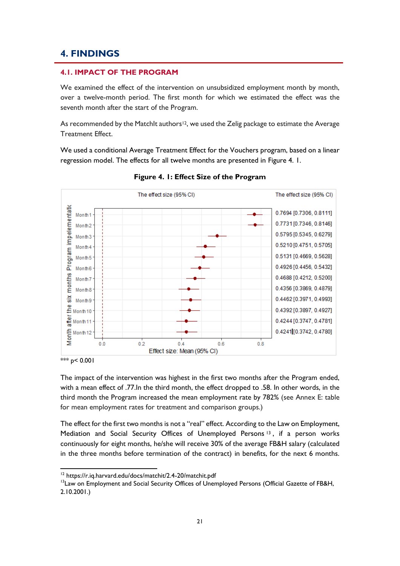### **4. FINDINGS**

#### <span id="page-21-0"></span>**4.1. IMPACT OF THE PROGRAM**

We examined the effect of the intervention on unsubsidized employment month by month, over a twelve-month period. The first month for which we estimated the effect was the seventh month after the start of the Program.

As recommended by the MatchIt authors<sup>12</sup>, we used the Zelig package to estimate the Average Treatment Effect.

We used a conditional Average Treatment Effect for the Vouchers program, based on a linear regression model. The effects for all twelve months are presented in Figure 4. 1.

<span id="page-21-1"></span>

**Figure 4. 1: Effect Size of the Program**

\*\*\*  $p$  < 0.001

 $\overline{a}$ 

The impact of the intervention was highest in the first two months after the Program ended, with a mean effect of .77.In the third month, the effect dropped to .58. In other words, in the third month the Program increased the mean employment rate by 782% (see Annex E: table for mean employment rates for treatment and comparison groups.)

The effect for the first two months is not a "real" effect. According to the Law on Employment, Mediation and Social Security Offices of Unemployed Persons <sup>13</sup> , if a person works continuously for eight months, he/she will receive 30% of the average FB&H salary (calculated in the three months before termination of the contract) in benefits, for the next 6 months.

<sup>&</sup>lt;sup>12</sup> https://r.iq.harvard.edu/docs/matchit/2.4-20/matchit.pdf

<sup>&</sup>lt;sup>13</sup> Law on Employment and Social Security Offices of Unemployed Persons (Official Gazette of FB&H, 2.10.2001.)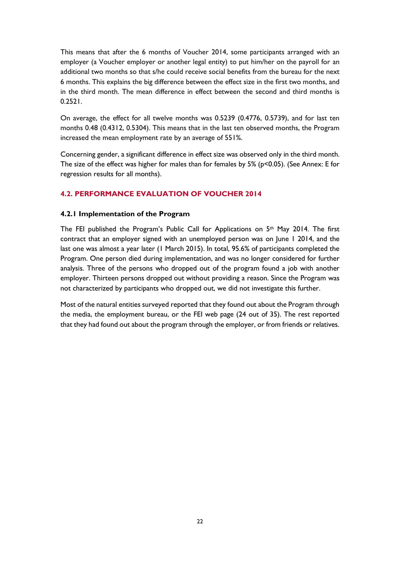This means that after the 6 months of Voucher 2014, some participants arranged with an employer (a Voucher employer or another legal entity) to put him/her on the payroll for an additional two months so that s/he could receive social benefits from the bureau for the next 6 months. This explains the big difference between the effect size in the first two months, and in the third month. The mean difference in effect between the second and third months is 0.2521.

On average, the effect for all twelve months was 0.5239 (0.4776, 0.5739), and for last ten months 0.48 (0.4312, 0.5304). This means that in the last ten observed months, the Program increased the mean employment rate by an average of 551%.

Concerning gender, a significant difference in effect size was observed only in the third month. The size of the effect was higher for males than for females by  $5\%$  (p<0.05). (See Annex: E for regression results for all months).

#### <span id="page-22-0"></span>**4.2. PERFORMANCE EVALUATION OF VOUCHER 2014**

#### <span id="page-22-1"></span>**4.2.1 Implementation of the Program**

The FEI published the Program's Public Call for Applications on 5th May 2014. The first contract that an employer signed with an unemployed person was on June 1 2014, and the last one was almost a year later (1 March 2015). In total, 95.6% of participants completed the Program. One person died during implementation, and was no longer considered for further analysis. Three of the persons who dropped out of the program found a job with another employer. Thirteen persons dropped out without providing a reason. Since the Program was not characterized by participants who dropped out, we did not investigate this further.

Most of the natural entities surveyed reported that they found out about the Program through the media, the employment bureau, or the FEI web page (24 out of 35). The rest reported that they had found out about the program through the employer, or from friends or relatives.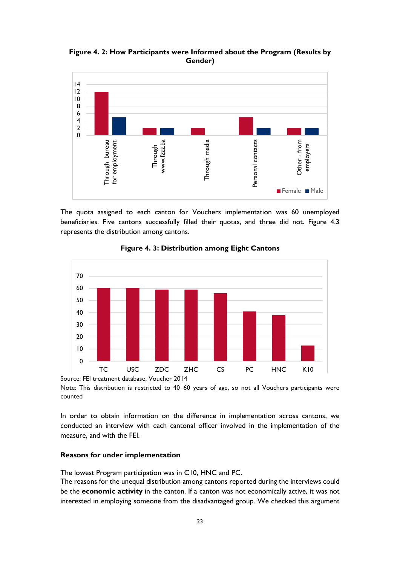<span id="page-23-0"></span>**Figure 4. 2: How Participants were Informed about the Program (Results by Gender)**



The quota assigned to each canton for Vouchers implementation was 60 unemployed beneficiaries. Five cantons successfully filled their quotas, and three did not. Figure 4.3 represents the distribution among cantons.

<span id="page-23-1"></span>

**Figure 4. 3: Distribution among Eight Cantons**

Source: FEI treatment database, Voucher 2014

Note: This distribution is restricted to 40–60 years of age, so not all Vouchers participants were counted

In order to obtain information on the difference in implementation across cantons, we conducted an interview with each cantonal officer involved in the implementation of the measure, and with the FEI.

#### **Reasons for under implementation**

The lowest Program participation was in C10, HNC and PC.

The reasons for the unequal distribution among cantons reported during the interviews could be the **economic activity** in the canton. If a canton was not economically active, it was not interested in employing someone from the disadvantaged group. We checked this argument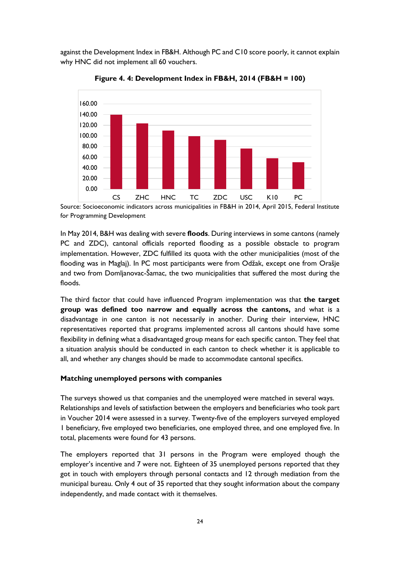against the Development Index in FB&H. Although PC and C10 score poorly, it cannot explain why HNC did not implement all 60 vouchers.

<span id="page-24-0"></span>

**Figure 4. 4: Development Index in FB&H, 2014 (FB&H = 100)**

Source: Socioeconomic indicators across municipalities in FB&H in 2014, April 2015, Federal Institute for Programming Development

In May 2014, B&H was dealing with severe **floods**. During interviews in some cantons (namely PC and ZDC), cantonal officials reported flooding as a possible obstacle to program implementation. However, ZDC fulfilled its quota with the other municipalities (most of the flooding was in Maglaj). In PC most participants were from Odžak, except one from Orašje and two from Domljanovac-Šamac, the two municipalities that suffered the most during the floods.

The third factor that could have influenced Program implementation was that **the target group was defined too narrow and equally across the cantons,** and what is a disadvantage in one canton is not necessarily in another. During their interview, HNC representatives reported that programs implemented across all cantons should have some flexibility in defining what a disadvantaged group means for each specific canton. They feel that a situation analysis should be conducted in each canton to check whether it is applicable to all, and whether any changes should be made to accommodate cantonal specifics.

#### **Matching unemployed persons with companies**

The surveys showed us that companies and the unemployed were matched in several ways. Relationships and levels of satisfaction between the employers and beneficiaries who took part in Voucher 2014 were assessed in a survey. Twenty-five of the employers surveyed employed 1 beneficiary, five employed two beneficiaries, one employed three, and one employed five. In total, placements were found for 43 persons.

The employers reported that 31 persons in the Program were employed though the employer's incentive and 7 were not. Eighteen of 35 unemployed persons reported that they got in touch with employers through personal contacts and 12 through mediation from the municipal bureau. Only 4 out of 35 reported that they sought information about the company independently, and made contact with it themselves.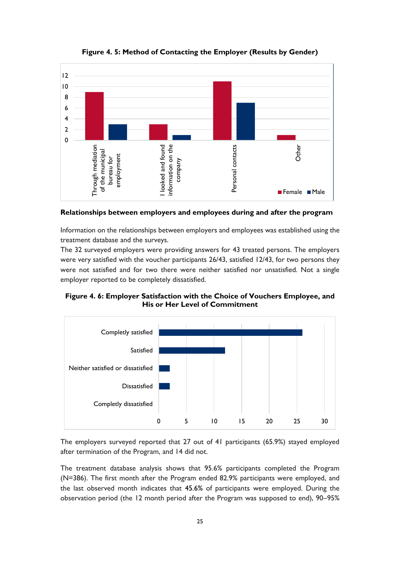<span id="page-25-0"></span>

**Figure 4. 5: Method of Contacting the Employer (Results by Gender)**

**Relationships between employers and employees during and after the program**

Information on the relationships between employers and employees was established using the treatment database and the surveys.

The 32 surveyed employers were providing answers for 43 treated persons. The employers were very satisfied with the voucher participants 26/43, satisfied 12/43, for two persons they were not satisfied and for two there were neither satisfied nor unsatisfied. Not a single employer reported to be completely dissatisfied.

<span id="page-25-1"></span>**Figure 4. 6: Employer Satisfaction with the Choice of Vouchers Employee, and His or Her Level of Commitment**



The employers surveyed reported that 27 out of 41 participants (65.9%) stayed employed after termination of the Program, and 14 did not.

The treatment database analysis shows that 95.6% participants completed the Program (N=386). The first month after the Program ended 82.9% participants were employed, and the last observed month indicates that 45.6% of participants were employed. During the observation period (the 12 month period after the Program was supposed to end), 90–95%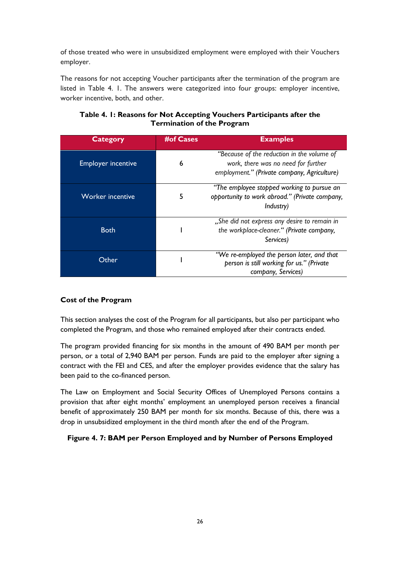of those treated who were in unsubsidized employment were employed with their Vouchers employer.

The reasons for not accepting Voucher participants after the termination of the program are listed in Table 4. 1. The answers were categorized into four groups: employer incentive, worker incentive, both, and other.

#### <span id="page-26-1"></span>**Table 4. 1: Reasons for Not Accepting Vouchers Participants after the Termination of the Program**

| <b>Category</b>           | <b>#of Cases</b> | <b>Examples</b>                                                                                                                  |
|---------------------------|------------------|----------------------------------------------------------------------------------------------------------------------------------|
| <b>Employer incentive</b> | 6                | "Because of the reduction in the volume of<br>work, there was no need for further<br>employment." (Private company, Agriculture) |
| <b>Worker incentive</b>   |                  | "The employee stopped working to pursue an<br>opportunity to work abroad." (Private company,<br>Industry)                        |
| <b>Both</b>               |                  | "She did not express any desire to remain in<br>the workplace-cleaner." (Private company,<br>Services)                           |
| Other                     |                  | "We re-employed the person later, and that<br>person is still working for us." (Private<br>company, Services)                    |

#### **Cost of the Program**

This section analyses the cost of the Program for all participants, but also per participant who completed the Program, and those who remained employed after their contracts ended.

The program provided financing for six months in the amount of 490 BAM per month per person, or a total of 2,940 BAM per person. Funds are paid to the employer after signing a contract with the FEI and CES, and after the employer provides evidence that the salary has been paid to the co-financed person.

The Law on Employment and Social Security Offices of Unemployed Persons contains a provision that after eight months' employment an unemployed person receives a financial benefit of approximately 250 BAM per month for six months. Because of this, there was a drop in unsubsidized employment in the third month after the end of the Program.

#### <span id="page-26-0"></span>**Figure 4. 7: BAM per Person Employed and by Number of Persons Employed**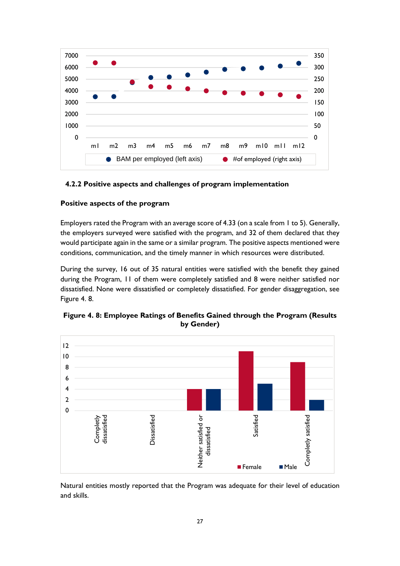

#### <span id="page-27-0"></span>**4.2.2 Positive aspects and challenges of program implementation**

#### **Positive aspects of the program**

Employers rated the Program with an average score of 4.33 (on a scale from 1 to 5). Generally, the employers surveyed were satisfied with the program, and 32 of them declared that they would participate again in the same or a similar program. The positive aspects mentioned were conditions, communication, and the timely manner in which resources were distributed.

During the survey, 16 out of 35 natural entities were satisfied with the benefit they gained during the Program, 11 of them were completely satisfied and 8 were neither satisfied nor dissatisfied. None were dissatisfied or completely dissatisfied. For gender disaggregation, see Figure 4. 8.



<span id="page-27-1"></span>**Figure 4. 8: Employee Ratings of Benefits Gained through the Program (Results by Gender)**

Natural entities mostly reported that the Program was adequate for their level of education and skills.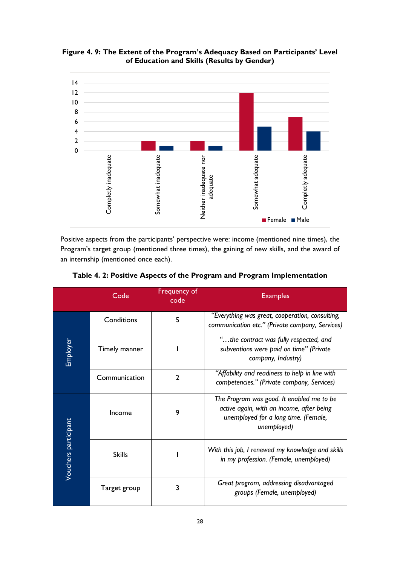

<span id="page-28-0"></span>**Figure 4. 9: The Extent of the Program's Adequacy Based on Participants' Level of Education and Skills (Results by Gender)**

Positive aspects from the participants' perspective were: income (mentioned nine times), the Program's target group (mentioned three times), the gaining of new skills, and the award of an internship (mentioned once each).

|                      | Code          | Frequency of<br>code | <b>Examples</b>                                                                                                                               |  |  |
|----------------------|---------------|----------------------|-----------------------------------------------------------------------------------------------------------------------------------------------|--|--|
|                      | Conditions    | 5                    | "Everything was great, cooperation, consulting,<br>communication etc." (Private company, Services)                                            |  |  |
| Employer             | Timely manner |                      | "the contract was fully respected, and<br>subventions were paid on time" (Private<br>company, Industry)                                       |  |  |
|                      | Communication | $\overline{2}$       | "Affability and readiness to help in line with<br>competencies." (Private company, Services)                                                  |  |  |
|                      | Income        | 9                    | The Program was good. It enabled me to be<br>active again, with an income, after being<br>unemployed for a long time. (Female,<br>unemployed) |  |  |
| Vouchers participant | <b>Skills</b> |                      | With this job, I renewed my knowledge and skills<br>in my profession. (Female, unemployed)                                                    |  |  |
|                      | Target group  | 3                    | Great program, addressing disadvantaged<br>groups (Female, unemployed)                                                                        |  |  |

<span id="page-28-1"></span>**Table 4. 2: Positive Aspects of the Program and Program Implementation**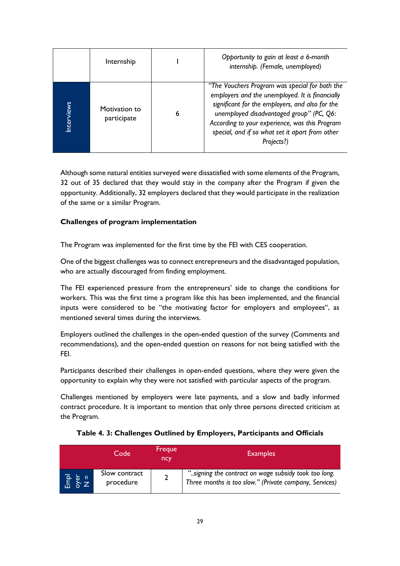|           | Internship                   |   | Opportunity to gain at least a 6-month<br>internship. (Female, unemployed)                                                                                                                                                                                                                                          |
|-----------|------------------------------|---|---------------------------------------------------------------------------------------------------------------------------------------------------------------------------------------------------------------------------------------------------------------------------------------------------------------------|
| nterviews | Motivation to<br>participate | 6 | "The Vouchers Program was special for both the<br>employers and the unemployed. It is financially<br>significant for the employers, and also for the<br>unemployed disadvantaged group" (PC, Q6:<br>According to your experience, was this Program<br>special, and if so what set it apart from other<br>Projects?) |

Although some natural entities surveyed were dissatisfied with some elements of the Program, 32 out of 35 declared that they would stay in the company after the Program if given the opportunity. Additionally, 32 employers declared that they would participate in the realization of the same or a similar Program.

#### **Challenges of program implementation**

The Program was implemented for the first time by the FEI with CES cooperation.

One of the biggest challenges was to connect entrepreneurs and the disadvantaged population, who are actually discouraged from finding employment.

The FEI experienced pressure from the entrepreneurs' side to change the conditions for workers. This was the first time a program like this has been implemented, and the financial inputs were considered to be "the motivating factor for employers and employees", as mentioned several times during the interviews.

Employers outlined the challenges in the open-ended question of the survey (Comments and recommendations), and the open-ended question on reasons for not being satisfied with the FEI.

Participants described their challenges in open-ended questions, where they were given the opportunity to explain why they were not satisfied with particular aspects of the program.

Challenges mentioned by employers were late payments, and a slow and badly informed contract procedure. It is important to mention that only three persons directed criticism at the Program.

<span id="page-29-0"></span>

|                                                         | Code                       | Freque<br>ncy | <b>Examples</b>                                                                                                |
|---------------------------------------------------------|----------------------------|---------------|----------------------------------------------------------------------------------------------------------------|
| $\begin{bmatrix} 1 & 1 \\ 1 & 1 \\ 1 & 1 \end{bmatrix}$ | Slow contract<br>procedure |               | "signing the contract on wage subsidy took too long.<br>Three months is too slow." (Private company, Services) |

**Table 4. 3: Challenges Outlined by Employers, Participants and Officials**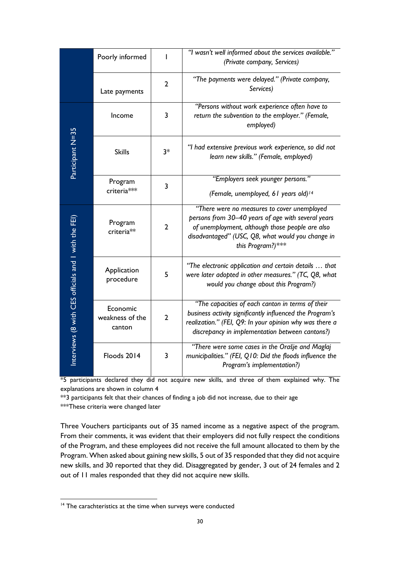|                                                      | Poorly informed                       | ı              | "I wasn't well informed about the services available."<br>(Private company, Services)                                                                                                                                          |  |  |  |  |
|------------------------------------------------------|---------------------------------------|----------------|--------------------------------------------------------------------------------------------------------------------------------------------------------------------------------------------------------------------------------|--|--|--|--|
|                                                      | Late payments                         | $\overline{2}$ | "The payments were delayed." (Private company,<br>Services)                                                                                                                                                                    |  |  |  |  |
|                                                      | Income                                | 3              | "Persons without work experience often have to<br>return the subvention to the employer." (Female,<br>employed)                                                                                                                |  |  |  |  |
| Participant N=35                                     | <b>Skills</b>                         | $3*$           | "I had extensive previous work experience, so did not<br>learn new skills." (Female, employed)                                                                                                                                 |  |  |  |  |
|                                                      | Program<br>criteria***                | 3              | "Employers seek younger persons."<br>(Female, unemployed, 61 years old) <sup>14</sup>                                                                                                                                          |  |  |  |  |
|                                                      | Program<br>criteria**                 | $\overline{2}$ | "There were no measures to cover unemployed<br>persons from 30-40 years of age with several years<br>of unemployment, although those people are also<br>disadvantaged" (USC, Q8, what would you change in<br>this Program?)*** |  |  |  |  |
| Interviews (8 with CES officials and 1 with the FEI) | Application<br>procedure              | 5              | "The electronic application and certain details  that<br>were later adopted in other measures." (TC, Q8, what<br>would you change about this Program?)                                                                         |  |  |  |  |
|                                                      | Economic<br>weakness of the<br>canton | $\overline{2}$ | "The capacities of each canton in terms of their<br>business activity significantly influenced the Program's<br>realization." (FEI, Q9: In your opinion why was there a<br>discrepancy in implementation between cantons?)     |  |  |  |  |
|                                                      | Floods 2014                           | 3              | "There were some cases in the Orašje and Maglaj<br>municipalities." (FEI, Q10: Did the floods influence the<br>Program's implementation?)                                                                                      |  |  |  |  |

\*5 participants declared they did not acquire new skills, and three of them explained why. The explanations are shown in column 4

\*\*3 participants felt that their chances of finding a job did not increase, due to their age \*\*\*These criteria were changed later

Three Vouchers participants out of 35 named income as a negative aspect of the program. From their comments, it was evident that their employers did not fully respect the conditions of the Program, and these employees did not receive the full amount allocated to them by the Program. When asked about gaining new skills, 5 out of 35 responded that they did not acquire new skills, and 30 reported that they did. Disaggregated by gender, 3 out of 24 females and 2 out of 11 males responded that they did not acquire new skills.

1

<sup>&</sup>lt;sup>14</sup> The carachteristics at the time when surveys were conducted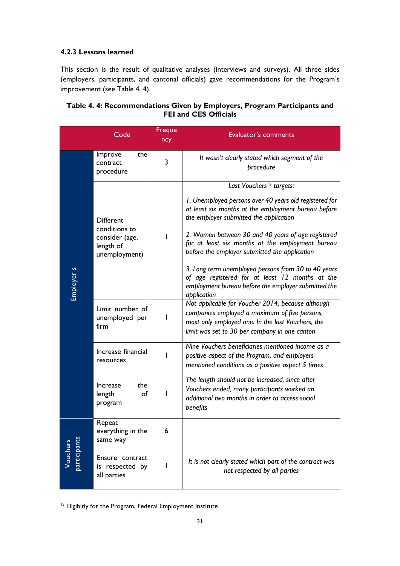#### <span id="page-31-0"></span>**4.2.3 Lessons learned**

This section is the result of qualitative analyses (interviews and surveys). All three sides (employers, participants, and cantonal officials) gave recommendations for the Program's improvement (see Table 4. 4).

|                          | Code                                                          | Freque<br>ncy | Evaluator's comments                                                                                                                                                                                     |
|--------------------------|---------------------------------------------------------------|---------------|----------------------------------------------------------------------------------------------------------------------------------------------------------------------------------------------------------|
|                          | the<br>Improve<br>contract<br>procedure                       | 3             | It wasn't clearly stated which segment of the<br>procedure                                                                                                                                               |
|                          |                                                               |               | Last Vouchers <sup>15</sup> targets:                                                                                                                                                                     |
| Employer s               | <b>Different</b>                                              |               | I. Unemployed persons over 40 years old registered for<br>at least six months at the employment bureau before<br>the employer submitted the application                                                  |
|                          | conditions to<br>consider (age,<br>length of<br>unemployment) |               | 2. Women between 30 and 40 years of age registered<br>for at least six months at the employment bureau<br>before the employer submitted the application                                                  |
|                          |                                                               |               | 3. Long term unemployed persons from 30 to 40 years<br>of age registered for at least 12 months at the<br>employment bureau before the employer submitted the<br>application                             |
|                          | Limit number of<br>unemployed per<br>firm                     |               | Not applicable for Voucher 2014, because although<br>companies employed a maximum of five persons,<br>most only employed one. In the last Vouchers, the<br>limit was set to 30 per company in one canton |
|                          | Increase financial<br>resources                               | ı             | Nine Vouchers beneficiaries mentioned income as a<br>positive aspect of the Program, and employers<br>mentioned conditions as a positive aspect 5 times                                                  |
|                          | the<br><b>Increase</b><br>of<br>length<br>I<br>program        |               | The length should not be increased, since after<br>Vouchers ended, many participants worked an<br>additional two months in order to access social<br>benefits                                            |
|                          | Repeat<br>everything in the<br>same way                       | 6             |                                                                                                                                                                                                          |
| participants<br>Vouchers | Ensure contract<br>is respected by<br>all parties             |               | It is not clearly stated which part of the contract was<br>not respected by all parties                                                                                                                  |

#### <span id="page-31-1"></span>**Table 4. 4: Recommendations Given by Employers, Program Participants and FEI and CES Officials**

1

<sup>&</sup>lt;sup>15</sup> Eligibitly for the Program, Federal Employment Institute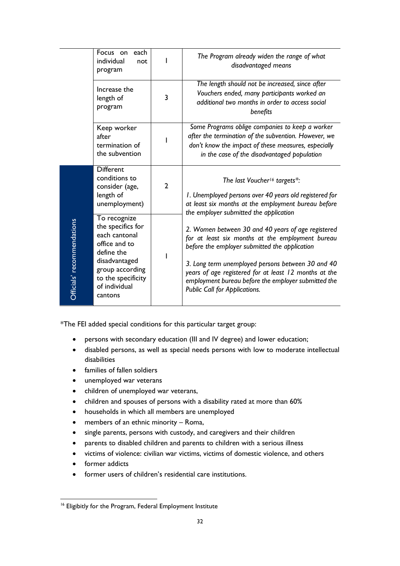|                            | Focus on<br>each<br>individual<br>not<br>program                                                                                                                        |                | The Program already widen the range of what<br>disadvantaged means                                                                                                                                                                                                                                                                                            |
|----------------------------|-------------------------------------------------------------------------------------------------------------------------------------------------------------------------|----------------|---------------------------------------------------------------------------------------------------------------------------------------------------------------------------------------------------------------------------------------------------------------------------------------------------------------------------------------------------------------|
|                            | Increase the<br>length of<br>program                                                                                                                                    | 3              | The length should not be increased, since after<br>Vouchers ended, many participants worked an<br>additional two months in order to access social<br>benefits                                                                                                                                                                                                 |
|                            | Keep worker<br>after<br>termination of<br>the subvention                                                                                                                |                | Some Programs oblige companies to keep a worker<br>after the termination of the subvention. However, we<br>don't know the impact of these measures, especially<br>in the case of the disadvantaged population                                                                                                                                                 |
|                            | <b>Different</b><br>conditions to<br>consider (age,<br>length of<br>unemployment)                                                                                       | $\overline{2}$ | The last Voucher <sup>16</sup> targets*:<br>I. Unemployed persons over 40 years old registered for<br>at least six months at the employment bureau before<br>the employer submitted the application                                                                                                                                                           |
| Officials' recommendations | To recognize<br>the specifics for<br>each cantonal<br>office and to<br>define the<br>disadvantaged<br>group according<br>to the specificity<br>of individual<br>cantons |                | 2. Women between 30 and 40 years of age registered<br>for at least six months at the employment bureau<br>before the employer submitted the application<br>3. Long term unemployed persons between 30 and 40<br>years of age registered for at least 12 months at the<br>employment bureau before the employer submitted the<br>Public Call for Applications. |

\*The FEI added special conditions for this particular target group:

- persons with secondary education (III and IV degree) and lower education;
- disabled persons, as well as special needs persons with low to moderate intellectual disabilities
- families of fallen soldiers
- unemployed war veterans
- children of unemployed war veterans,
- children and spouses of persons with a disability rated at more than 60%
- households in which all members are unemployed
- members of an ethnic minority Roma,
- single parents, persons with custody, and caregivers and their children
- parents to disabled children and parents to children with a serious illness
- victims of violence: civilian war victims, victims of domestic violence, and others
- former addicts
- former users of children's residential care institutions.

<sup>1</sup> <sup>16</sup> Eligibitly for the Program, Federal Employment Institute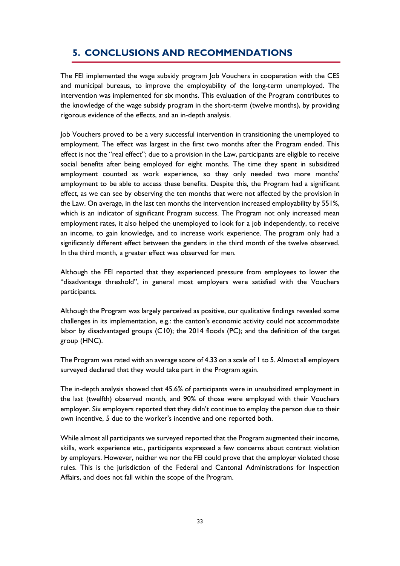# <span id="page-33-0"></span>**5. CONCLUSIONS AND RECOMMENDATIONS**

The FEI implemented the wage subsidy program Job Vouchers in cooperation with the CES and municipal bureaus, to improve the employability of the long-term unemployed. The intervention was implemented for six months. This evaluation of the Program contributes to the knowledge of the wage subsidy program in the short-term (twelve months), by providing rigorous evidence of the effects, and an in-depth analysis.

Job Vouchers proved to be a very successful intervention in transitioning the unemployed to employment. The effect was largest in the first two months after the Program ended. This effect is not the "real effect"; due to a provision in the Law, participants are eligible to receive social benefits after being employed for eight months. The time they spent in subsidized employment counted as work experience, so they only needed two more months' employment to be able to access these benefits. Despite this, the Program had a significant effect, as we can see by observing the ten months that were not affected by the provision in the Law. On average, in the last ten months the intervention increased employability by 551%, which is an indicator of significant Program success. The Program not only increased mean employment rates, it also helped the unemployed to look for a job independently, to receive an income, to gain knowledge, and to increase work experience. The program only had a significantly different effect between the genders in the third month of the twelve observed. In the third month, a greater effect was observed for men.

Although the FEI reported that they experienced pressure from employees to lower the "disadvantage threshold", in general most employers were satisfied with the Vouchers participants.

Although the Program was largely perceived as positive, our qualitative findings revealed some challenges in its implementation, e.g.: the canton's economic activity could not accommodate labor by disadvantaged groups (C10); the 2014 floods (PC); and the definition of the target group (HNC).

The Program was rated with an average score of 4.33 on a scale of 1 to 5. Almost all employers surveyed declared that they would take part in the Program again.

The in-depth analysis showed that 45.6% of participants were in unsubsidized employment in the last (twelfth) observed month, and 90% of those were employed with their Vouchers employer. Six employers reported that they didn't continue to employ the person due to their own incentive, 5 due to the worker's incentive and one reported both.

While almost all participants we surveyed reported that the Program augmented their income, skills, work experience etc., participants expressed a few concerns about contract violation by employers. However, neither we nor the FEI could prove that the employer violated those rules. This is the jurisdiction of the Federal and Cantonal Administrations for Inspection Affairs, and does not fall within the scope of the Program.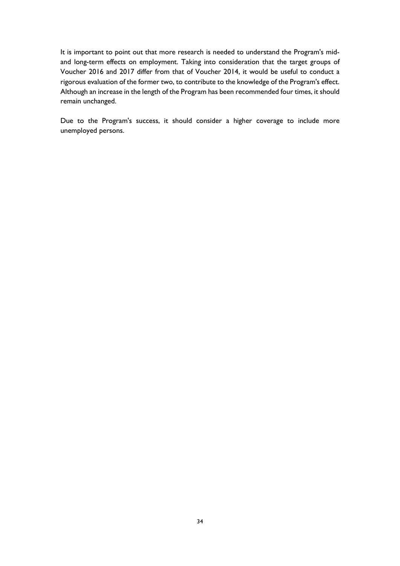It is important to point out that more research is needed to understand the Program's midand long-term effects on employment. Taking into consideration that the target groups of Voucher 2016 and 2017 differ from that of Voucher 2014, it would be useful to conduct a rigorous evaluation of the former two, to contribute to the knowledge of the Program's effect. Although an increase in the length of the Program has been recommended four times, it should remain unchanged.

Due to the Program's success, it should consider a higher coverage to include more unemployed persons.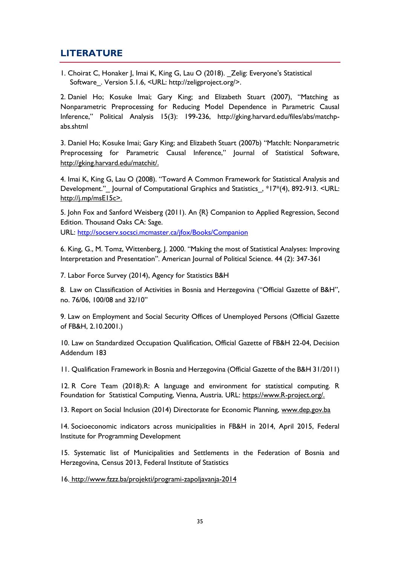### **LITERATURE**

1. Choirat C, Honaker J, Imai K, King G, Lau O (2018). \_Zelig: Everyone's Statistical Software. Version 5.1.6, <URL: http://zeligproject.org/>.

2. Daniel Ho; Kosuke Imai; Gary King; and Elizabeth Stuart (2007), "Matching as Nonparametric Preprocessing for Reducing Model Dependence in Parametric Causal Inference," Political Analysis 15(3): 199-236, http://gking.harvard.edu/files/abs/matchpabs.shtml

3. Daniel Ho; Kosuke Imai; Gary King; and Elizabeth Stuart (2007b) "MatchIt: Nonparametric Preprocessing for Parametric Causal Inference," Journal of Statistical Software, [http://gking.harvard.edu/matchit/.](http://j.mp/msE15c%3E.)

4. Imai K, King G, Lau O (2008). "Toward A Common Framework for Statistical Analysis and Development." Journal of Computational Graphics and Statistics, \*17\*(4), 892-913. <URL: [http://j.mp/msE15c>.](http://socserv.socsci.mcmaster.ca/jfox/Books/Companion)

5. John Fox and Sanford Weisberg (2011). An {R} Companion to Applied Regression, Second Edition. Thousand Oaks CA: Sage.

URL: [http://socserv.socsci.mcmaster.ca/jfox/Books/Companion](http://www.fzzz.ba/)

6. King, G., M. Tomz, Wittenberg, J. 2000. "Making the most of Statistical Analyses: Improving Interpretation and Presentation". American Journal of Political Science. 44 (2): 347-361

7. Labor Force Survey (2014), Agency for Statistics B&H

8. Law on Classification of Activities in Bosnia and Herzegovina ("Official Gazette of B&H", no. 76/06, 100/08 and 32/10"

9. Law on Employment and Social Security Offices of Unemployed Persons (Official Gazette of FB&H, 2.10.2001.)

10. Law on Standardized Occupation Qualification, Official Gazette of FB&H 22-04, Decision Addendum 183

11. Qualification Framework in Bosnia and Herzegovina (Official Gazette of the B&H 31/2011)

12. R Core Team (2018).R: A language and environment for statistical computing. R Foundation for Statistical Computing, Vienna, Austria. URL: [https://www.R-project.org/.](https://www.r-project.org/)

13. Report on Social Inclusion (2014) Directorate for Economic Planning, [www.dep.gov.ba](http://www.fzzz.ba/projekti/programi-zapoljavanja-2014)

14. Socioeconomic indicators across municipalities in FB&H in 2014, April 2015, Federal Institute for Programming Development

15. Systematic list of Municipalities and Settlements in the Federation of Bosnia and Herzegovina, Census 2013, Federal Institute of Statistics

<span id="page-35-0"></span>16. [http://www.fzzz.ba/projekti/programi-zapoljavanja-2014](http://gking.harvard.edu/matchit/)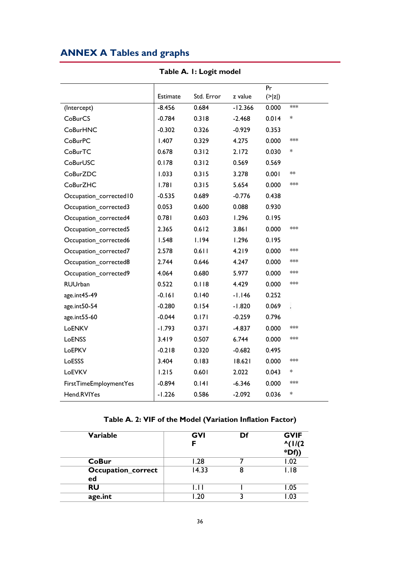# **ANNEX A Tables and graphs**

<span id="page-36-0"></span>

|                         |          |            |           | Pr                 |                      |
|-------------------------|----------|------------|-----------|--------------------|----------------------|
|                         | Estimate | Std. Error | z value   | $(>\vert z \vert)$ |                      |
| (Intercept)             | $-8.456$ | 0.684      | $-12.366$ | 0.000              | ***                  |
| <b>CoBurCS</b>          | $-0.784$ | 0.318      | $-2.468$  | 0.014              | $\ast$               |
| <b>CoBurHNC</b>         | $-0.302$ | 0.326      | $-0.929$  | 0.353              |                      |
| <b>CoBurPC</b>          | 1.407    | 0.329      | 4.275     | 0.000              | ***                  |
| CoBurTC                 | 0.678    | 0.312      | 2.172     | 0.030              | *                    |
| CoBurUSC                | 0.178    | 0.312      | 0.569     | 0.569              |                      |
| CoBurZDC                | 1.033    | 0.315      | 3.278     | 0.001              | **                   |
| <b>CoBurZHC</b>         | 1.781    | 0.315      | 5.654     | 0.000              | ***                  |
| Occupation_corrected I0 | $-0.535$ | 0.689      | $-0.776$  | 0.438              |                      |
| Occupation corrected3   | 0.053    | 0.600      | 0.088     | 0.930              |                      |
| Occupation_corrected4   | 0.781    | 0.603      | 1.296     | 0.195              |                      |
| Occupation_corrected5   | 2.365    | 0.612      | 3.861     | 0.000              | ***                  |
| Occupation_corrected6   | 1.548    | 1.194      | 1.296     | 0.195              |                      |
| Occupation_corrected7   | 2.578    | 0.611      | 4.219     | 0.000              | ***                  |
| Occupation_corrected8   | 2.744    | 0.646      | 4.247     | 0.000              | ***                  |
| Occupation_corrected9   | 4.064    | 0.680      | 5.977     | 0.000              | ***                  |
| <b>RUUrban</b>          | 0.522    | 0.118      | 4.429     | 0.000              | ***                  |
| age.int45-49            | $-0.161$ | 0.140      | $-1.146$  | 0.252              |                      |
| age.int50-54            | $-0.280$ | 0.154      | $-1.820$  | 0.069              | $\ddot{\phantom{0}}$ |
| age.int55-60            | $-0.044$ | 0.171      | $-0.259$  | 0.796              |                      |
| LoENKV                  | $-1.793$ | 0.371      | $-4.837$  | 0.000              | ***                  |
| LoENSS                  | 3.419    | 0.507      | 6.744     | 0.000              | ***                  |
| LoEPKV                  | $-0.218$ | 0.320      | $-0.682$  | 0.495              |                      |
| LoESSS                  | 3.404    | 0.183      | 18.621    | 0.000              | ***                  |
| LoEVKV                  | 1.215    | 0.601      | 2.022     | 0.043              | $\ast$               |
| FirstTimeEmploymentYes  | $-0.894$ | 0.141      | $-6.346$  | 0.000              | ***                  |
| Hend.RVIYes             | $-1.226$ | 0.586      | $-2.092$  | 0.036              | *                    |

**Table A. 1: Logit model**

**Table A. 2: VIF of the Model (Variation Inflation Factor)**

<span id="page-36-1"></span>

| <b>Variable</b>                 | <b>GVI</b> | Df | <b>GVIF</b><br>$^{\prime}$ (1/(2)<br>$*Df)$ |
|---------------------------------|------------|----|---------------------------------------------|
| <b>CoBur</b>                    | 1.28       |    | .02                                         |
| <b>Occupation_correct</b><br>ed | 14.33      | 8  | I.I8                                        |
| <b>RU</b>                       | l.ll       |    | 1.05                                        |
| age.int                         | .20        |    | .03                                         |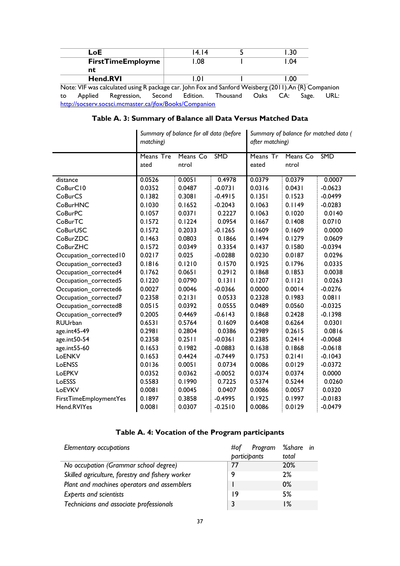|    | LoE     |                                                                                                      | 14.14                                                                                      |                               | .30   |       |      |
|----|---------|------------------------------------------------------------------------------------------------------|--------------------------------------------------------------------------------------------|-------------------------------|-------|-------|------|
|    |         | <b>FirstTimeEmployme</b>                                                                             | 1.08                                                                                       |                               | l .04 |       |      |
|    | nt      |                                                                                                      |                                                                                            |                               |       |       |      |
|    |         | <b>Hend.RVI</b>                                                                                      | LOI                                                                                        |                               | L 00. |       |      |
|    |         | Note: VIF was calculated using R package car. John Fox and Sanford Weisberg (2011). An {R} Companion |                                                                                            |                               |       |       |      |
| to | Applied | Regression,                                                                                          |                                                                                            | Second Edition. Thousand Oaks | CA:   | Sage. | URL: |
|    |         |                                                                                                      | $\mathbf{r}$ $\mathbf{r}$ $\mathbf{r}$ $\mathbf{r}$ $\mathbf{r}$ $\mathbf{r}$ $\mathbf{r}$ |                               |       |       |      |

<span id="page-37-0"></span><http://socserv.socsci.mcmaster.ca/jfox/Books/Companion>

### **Table A. 3: Summary of Balance all Data Versus Matched Data**

|                        | Summary of balance for all data (before<br>matching) |          |           | Summary of balance for matched data (<br>after matching) |          |           |  |
|------------------------|------------------------------------------------------|----------|-----------|----------------------------------------------------------|----------|-----------|--|
|                        | Means Tre                                            | Means Co | SMD       | Means Tr                                                 | Means Co | SMD       |  |
|                        | ated                                                 | ntrol    |           | eated                                                    | ntrol    |           |  |
| distance               | 0.0526                                               | 0.0051   | 0.4978    | 0.0379                                                   | 0.0379   | 0.0007    |  |
| CoBurC10               | 0.0352                                               | 0.0487   | $-0.0731$ | 0.0316                                                   | 0.0431   | $-0.0623$ |  |
| CoBurCS                | 0.1382                                               | 0.3081   | $-0.4915$ | 0.1351                                                   | 0.1523   | $-0.0499$ |  |
| <b>CoBurHNC</b>        | 0.1030                                               | 0.1652   | $-0.2043$ | 0.1063                                                   | 0.1149   | $-0.0283$ |  |
| <b>CoBurPC</b>         | 0.1057                                               | 0.0371   | 0.2227    | 0.1063                                                   | 0.1020   | 0.0140    |  |
| CoBurTC                | 0.1572                                               | 0.1224   | 0.0954    | 0.1667                                                   | 0.1408   | 0.0710    |  |
| CoBurUSC               | 0.1572                                               | 0.2033   | $-0.1265$ | 0.1609                                                   | 0.1609   | 0.0000    |  |
| CoBurZDC               | 0.1463                                               | 0.0803   | 0.1866    | 0.1494                                                   | 0.1279   | 0.0609    |  |
| <b>CoBurZHC</b>        | 0.1572                                               | 0.0349   | 0.3354    | 0.1437                                                   | 0.1580   | $-0.0394$ |  |
| Occupation_corrected10 | 0.0217                                               | 0.025    | $-0.0288$ | 0.0230                                                   | 0.0187   | 0.0296    |  |
| Occupation_corrected3  | 0.1816                                               | 0.1210   | 0.1570    | 0.1925                                                   | 0.1796   | 0.0335    |  |
| Occupation_corrected4  | 0.1762                                               | 0.0651   | 0.2912    | 0.1868                                                   | 0.1853   | 0.0038    |  |
| Occupation_corrected5  | 0.1220                                               | 0.0790   | 0.1311    | 0.1207                                                   | 0.1121   | 0.0263    |  |
| Occupation_corrected6  | 0.0027                                               | 0.0046   | $-0.0366$ | 0.0000                                                   | 0.0014   | $-0.0276$ |  |
| Occupation_corrected7  | 0.2358                                               | 0.2131   | 0.0533    | 0.2328                                                   | 0.1983   | 0.0811    |  |
| Occupation corrected8  | 0.0515                                               | 0.0392   | 0.0555    | 0.0489                                                   | 0.0560   | $-0.0325$ |  |
| Occupation_corrected9  | 0.2005                                               | 0.4469   | $-0.6143$ | 0.1868                                                   | 0.2428   | $-0.1398$ |  |
| <b>RUUrban</b>         | 0.6531                                               | 0.5764   | 0.1609    | 0.6408                                                   | 0.6264   | 0.0301    |  |
| age.int45-49           | 0.2981                                               | 0.2804   | 0.0386    | 0.2989                                                   | 0.2615   | 0.0816    |  |
| age.int50-54           | 0.2358                                               | 0.2511   | $-0.0361$ | 0.2385                                                   | 0.2414   | $-0.0068$ |  |
| age.int55-60           | 0.1653                                               | 0.1982   | $-0.0883$ | 0.1638                                                   | 0.1868   | $-0.0618$ |  |
| LoENKV                 | 0.1653                                               | 0.4424   | $-0.7449$ | 0.1753                                                   | 0.2141   | $-0.1043$ |  |
| LoENSS                 | 0.0136                                               | 0.0051   | 0.0734    | 0.0086                                                   | 0.0129   | $-0.0372$ |  |
| LoEPKV                 | 0.0352                                               | 0.0362   | $-0.0052$ | 0.0374                                                   | 0.0374   | 0.0000    |  |
| LoESSS                 | 0.5583                                               | 0.1990   | 0.7225    | 0.5374                                                   | 0.5244   | 0.0260    |  |
| LoEVKV                 | 0.0081                                               | 0.0045   | 0.0407    | 0.0086                                                   | 0.0057   | 0.0320    |  |
| FirstTimeEmploymentYes | 0.1897                                               | 0.3858   | $-0.4995$ | 0.1925                                                   | 0.1997   | $-0.0183$ |  |
| Hend.RVIYes            | 0.0081                                               | 0.0307   | $-0.2510$ | 0.0086                                                   | 0.0129   | $-0.0479$ |  |

### **Table A. 4: Vocation of the Program participants**

<span id="page-37-1"></span>

| Elementary occupations                           | Program<br>#of | %share in  |
|--------------------------------------------------|----------------|------------|
|                                                  | participants   | total      |
| No occupation (Grammar school degree)            | 77             | <b>20%</b> |
| Skilled agriculture, forestry and fishery worker | 9              | 2%         |
| Plant and machines operators and assemblers      |                | $0\%$      |
| <b>Experts and scientists</b>                    | 19             | 5%         |
| Technicians and associate professionals          |                | ا%         |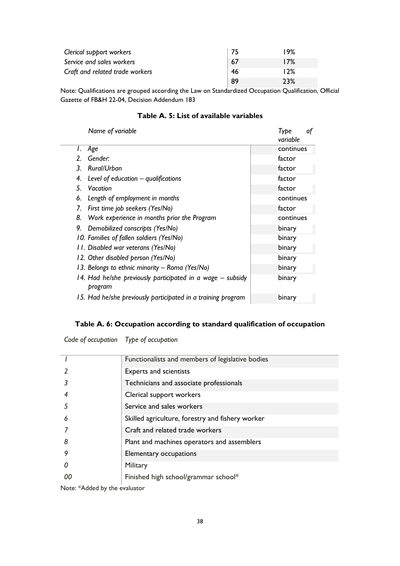| Clerical support workers        |     | 19% |
|---------------------------------|-----|-----|
| Service and sales workers       | -67 | 17% |
| Craft and related trade workers | -46 | 12% |
|                                 | 89  | 23% |

Note: Qualifications are grouped according the Law on Standardized Occupation Qualification, Official Gazette of FB&H 22-04, Decision Addendum 183

#### **Table A. 5: List of available variables**

<span id="page-38-0"></span>

| Name of variable                                                      | Tvbe<br>of<br>variable |
|-----------------------------------------------------------------------|------------------------|
| Age<br>Ι.                                                             | continues              |
| Gender:<br>2.                                                         | factor                 |
| Rural/Urban<br>3                                                      | factor                 |
| Level of education $-$ qualifications<br>4.                           | factor                 |
| 5.<br>Vacation                                                        | factor                 |
| Length of employment in months<br>6.                                  | continues              |
| First time job seekers (Yes/No)<br>7.                                 | factor                 |
| Work experience in months prior the Program<br>8.                     | continues              |
| 9.<br>Demobilized conscripts (Yes/No)                                 | binary                 |
| 10. Families of fallen soldiers (Yes/No)                              | binary                 |
| 11. Disabled war veterans (Yes/No)                                    | binary                 |
| 12. Other disabled person (Yes/No)                                    | binary                 |
| 13. Belongs to ethnic minority - Roma (Yes/No)                        | binary                 |
| 14. Had he/she previously participated in a wage – subsidy<br>program | binary                 |
| 15. Had he/she previously participated in a training program          | binary                 |

### **Table A. 6: Occupation according to standard qualification of occupation**

<span id="page-38-1"></span>*Code of occupation Type of occupation*

|          | Functionalists and members of legislative bodies |
|----------|--------------------------------------------------|
|          | Experts and scientists                           |
|          | Technicians and associate professionals          |
|          | Clerical support workers                         |
| .5       | Service and sales workers                        |
| 6        | Skilled agriculture, forestry and fishery worker |
|          | Craft and related trade workers                  |
| 8        | Plant and machines operators and assemblers      |
| 9        | Elementary occupations                           |
| $\Omega$ | Military                                         |
|          | Finished high school/grammar school*             |
|          |                                                  |

Note: \*Added by the evaluator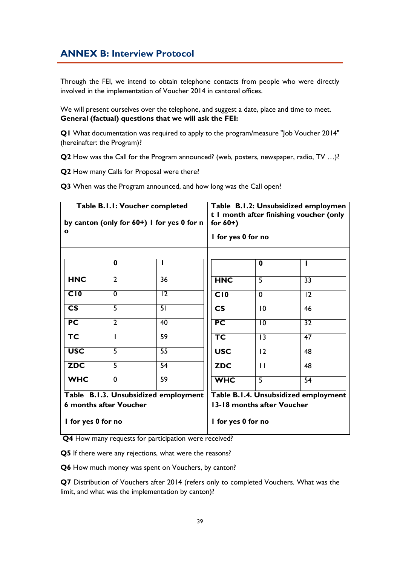## <span id="page-39-0"></span>**ANNEX B: Interview Protocol**

Through the FEI, we intend to obtain telephone contacts from people who were directly involved in the implementation of Voucher 2014 in cantonal offices.

We will present ourselves over the telephone, and suggest a date, place and time to meet. **General (factual) questions that we will ask the FEI:**

**Q1** What documentation was required to apply to the program/measure "Job Voucher 2014" (hereinafter: the Program)?

**Q2** How was the Call for the Program announced? (web, posters, newspaper, radio, TV …)?

**Q2** How many Calls for Proposal were there?

**Q3** When was the Program announced, and how long was the Call open?

| Table B.I.I: Voucher completed<br>by canton (only for 60+) I for yes 0 for n<br>$\mathbf o$ |                | Table B.I.2: Unsubsidized employmen<br>t I month after finishing voucher (only<br>for $60+$ )<br>I for yes 0 for no |                          |                                      |                 |
|---------------------------------------------------------------------------------------------|----------------|---------------------------------------------------------------------------------------------------------------------|--------------------------|--------------------------------------|-----------------|
|                                                                                             | 0              |                                                                                                                     |                          | $\bf{0}$                             |                 |
| <b>HNC</b>                                                                                  | $\overline{2}$ | 36                                                                                                                  | <b>HNC</b>               | $\overline{5}$                       | 33              |
| $\overline{C10}$                                                                            | $\overline{0}$ | $\overline{12}$                                                                                                     | C10                      | $\overline{0}$                       | $\overline{12}$ |
| $\overline{\text{cs}}$                                                                      | $\overline{5}$ | 51                                                                                                                  | $\overline{\text{cs}}$   | $\overline{10}$                      | 46              |
| PC                                                                                          | $\overline{2}$ | 40                                                                                                                  | PC                       | $\overline{10}$                      | $\overline{32}$ |
| TC                                                                                          |                | $\overline{59}$                                                                                                     | $\overline{\mathsf{TC}}$ | $\overline{13}$                      | $\overline{47}$ |
| <b>USC</b>                                                                                  | $\overline{5}$ | $\overline{55}$                                                                                                     | <b>USC</b>               | $\overline{12}$                      | 48              |
| <b>ZDC</b>                                                                                  | $\overline{5}$ | 54                                                                                                                  | <b>ZDC</b>               | $\overline{\mathbf{1}}$              | 48              |
| <b>WHC</b>                                                                                  | $\overline{0}$ | $\overline{59}$                                                                                                     | <b>WHC</b>               | $\overline{5}$                       | 54              |
| Table B.I.3. Unsubsidized employment                                                        |                |                                                                                                                     |                          | Table B.1.4. Unsubsidized employment |                 |
| 6 months after Voucher                                                                      |                | 13-18 months after Voucher                                                                                          |                          |                                      |                 |
| I for yes 0 for no                                                                          |                | I for yes 0 for no                                                                                                  |                          |                                      |                 |

**Q4** How many requests for participation were received?

**Q5** If there were any rejections, what were the reasons?

**Q6** How much money was spent on Vouchers, by canton?

**Q7** Distribution of Vouchers after 2014 (refers only to completed Vouchers. What was the limit, and what was the implementation by canton)?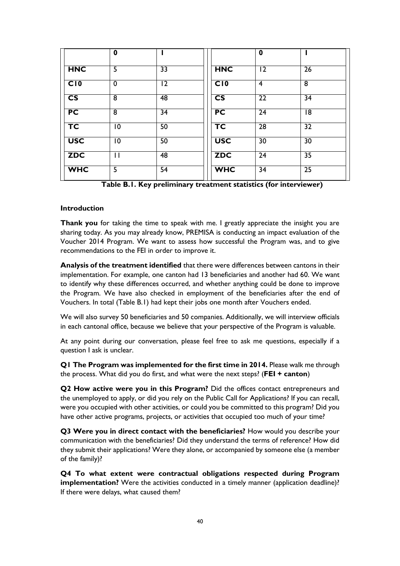|                          | $\boldsymbol{0}$ |                 |                          | $\mathbf 0$     |                 |
|--------------------------|------------------|-----------------|--------------------------|-----------------|-----------------|
| <b>HNC</b>               | 5                | $\overline{33}$ | <b>HNC</b>               | 12              | 26              |
| C10                      | $\mathbf 0$      | 12              | C10                      | $\overline{4}$  | $\overline{8}$  |
| $\overline{\text{cs}}$   | $\overline{8}$   | 48              | $\overline{\text{cs}}$   | $\overline{22}$ | $\overline{34}$ |
| PC                       | 8                | 34              | PC                       | 24              | 18              |
| $\overline{\mathsf{TC}}$ | 10               | 50              | $\overline{\mathsf{TC}}$ | $\overline{28}$ | 32              |
| <b>USC</b>               | 10               | 50              | <b>USC</b>               | 30              | 30              |
| <b>ZDC</b>               | $\mathbf{I}$     | 48              | <b>ZDC</b>               | $\overline{24}$ | $\overline{35}$ |
| <b>WHC</b>               | 5                | 54              | <b>WHC</b>               | 34              | 25              |

**Table B.1. Key preliminary treatment statistics (for interviewer)**

#### **Introduction**

**Thank you** for taking the time to speak with me. I greatly appreciate the insight you are sharing today. As you may already know, PREMISA is conducting an impact evaluation of the Voucher 2014 Program. We want to assess how successful the Program was, and to give recommendations to the FEI in order to improve it.

**Analysis of the treatment identified** that there were differences between cantons in their implementation. For example, one canton had 13 beneficiaries and another had 60. We want to identify why these differences occurred, and whether anything could be done to improve the Program. We have also checked in employment of the beneficiaries after the end of Vouchers. In total (Table B.1) had kept their jobs one month after Vouchers ended.

We will also survey 50 beneficiaries and 50 companies. Additionally, we will interview officials in each cantonal office, because we believe that your perspective of the Program is valuable.

At any point during our conversation, please feel free to ask me questions, especially if a question I ask is unclear.

**Q1 The Program was implemented for the first time in 2014.** Please walk me through the process. What did you do first, and what were the next steps? (**FEI + canton**)

**Q2 How active were you in this Program?** Did the offices contact entrepreneurs and the unemployed to apply, or did you rely on the Public Call for Applications? If you can recall, were you occupied with other activities, or could you be committed to this program? Did you have other active programs, projects, or activities that occupied too much of your time?

**Q3 Were you in direct contact with the beneficiaries?** How would you describe your communication with the beneficiaries? Did they understand the terms of reference? How did they submit their applications? Were they alone, or accompanied by someone else (a member of the family)?

**Q4 To what extent were contractual obligations respected during Program implementation?** Were the activities conducted in a timely manner (application deadline)? If there were delays, what caused them?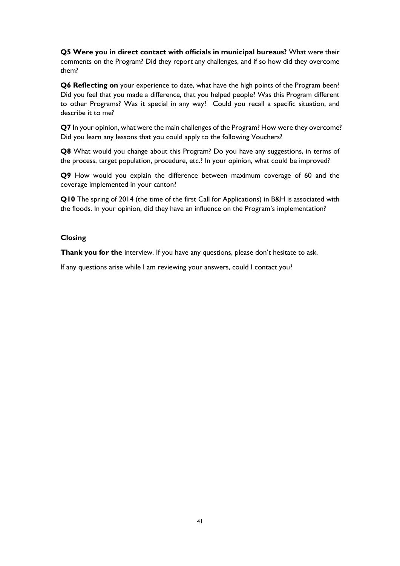**Q5 Were you in direct contact with officials in municipal bureaus?** What were their comments on the Program? Did they report any challenges, and if so how did they overcome them?

**Q6 Reflecting on** your experience to date, what have the high points of the Program been? Did you feel that you made a difference, that you helped people? Was this Program different to other Programs? Was it special in any way? Could you recall a specific situation, and describe it to me?

**Q7** In your opinion, what were the main challenges of the Program? How were they overcome? Did you learn any lessons that you could apply to the following Vouchers?

**Q8** What would you change about this Program? Do you have any suggestions, in terms of the process, target population, procedure, etc.? In your opinion, what could be improved?

**Q9** How would you explain the difference between maximum coverage of 60 and the coverage implemented in your canton?

**Q10** The spring of 2014 (the time of the first Call for Applications) in B&H is associated with the floods. In your opinion, did they have an influence on the Program's implementation?

#### **Closing**

**Thank you for the** interview. If you have any questions, please don't hesitate to ask.

If any questions arise while I am reviewing your answers, could I contact you?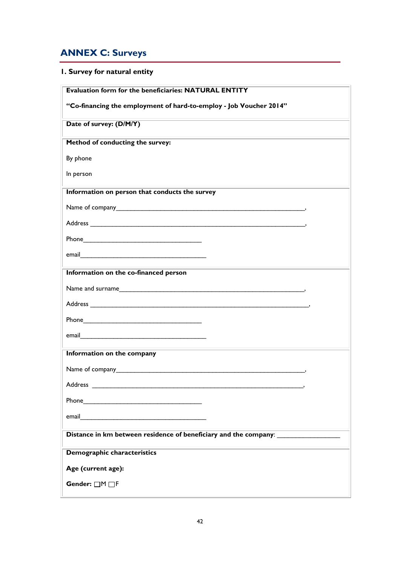# <span id="page-42-0"></span>**ANNEX C: Surveys**

# **1. Survey for natural entity**

| <b>Evaluation form for the beneficiaries: NATURAL ENTITY</b>                                                                                                                                                                   |
|--------------------------------------------------------------------------------------------------------------------------------------------------------------------------------------------------------------------------------|
| "Co-financing the employment of hard-to-employ - Job Voucher 2014"                                                                                                                                                             |
| Date of survey: (D/M/Y)                                                                                                                                                                                                        |
| Method of conducting the survey:                                                                                                                                                                                               |
| By phone                                                                                                                                                                                                                       |
| In person                                                                                                                                                                                                                      |
| Information on person that conducts the survey                                                                                                                                                                                 |
|                                                                                                                                                                                                                                |
|                                                                                                                                                                                                                                |
|                                                                                                                                                                                                                                |
|                                                                                                                                                                                                                                |
| Information on the co-financed person                                                                                                                                                                                          |
|                                                                                                                                                                                                                                |
|                                                                                                                                                                                                                                |
| Phone Phone and the contract of the contract of the contract of the contract of the contract of the contract of the contract of the contract of the contract of the contract of the contract of the contract of the contract o |
| email email and the contract of the contract of the contract of the contract of the contract of the contract of                                                                                                                |
| Information on the company                                                                                                                                                                                                     |
|                                                                                                                                                                                                                                |
| Address                                                                                                                                                                                                                        |
|                                                                                                                                                                                                                                |
|                                                                                                                                                                                                                                |
| <u> 1980 - Johann Barnett, fransk politik (</u><br>Distance in km between residence of beneficiary and the company: _______________                                                                                            |
| Demographic characteristics                                                                                                                                                                                                    |
| Age (current age):                                                                                                                                                                                                             |
| Gender: □M□F                                                                                                                                                                                                                   |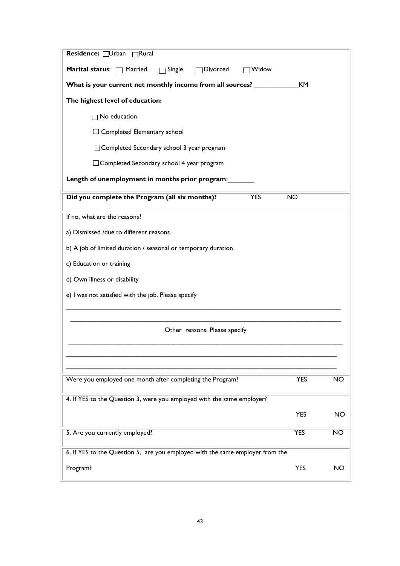| Residence: Urban <sub>Rural</sub>                                             |            |           |  |  |  |  |
|-------------------------------------------------------------------------------|------------|-----------|--|--|--|--|
| Marital status: Married<br>$\Box$ Single<br>Divorced<br>Widow                 |            |           |  |  |  |  |
| What is your current net monthly income from all sources? _                   | KM         |           |  |  |  |  |
| The highest level of education:                                               |            |           |  |  |  |  |
| $\Box$ No education                                                           |            |           |  |  |  |  |
| $\Box$ Completed Elementary school                                            |            |           |  |  |  |  |
| □ Completed Secondary school 3 year program                                   |            |           |  |  |  |  |
| □ Completed Secondary school 4 year program                                   |            |           |  |  |  |  |
| Length of unemployment in months prior program:                               |            |           |  |  |  |  |
| Did you complete the Program (all six months)?<br><b>YES</b>                  | <b>NO</b>  |           |  |  |  |  |
| If no, what are the reasons?                                                  |            |           |  |  |  |  |
| a) Dismissed /due to different reasons                                        |            |           |  |  |  |  |
| b) A job of limited duration / seasonal or temporary duration                 |            |           |  |  |  |  |
| c) Education or training                                                      |            |           |  |  |  |  |
| d) Own illness or disability                                                  |            |           |  |  |  |  |
| e) I was not satisfied with the job. Please specify                           |            |           |  |  |  |  |
|                                                                               |            |           |  |  |  |  |
| Other reasons. Please specify                                                 |            |           |  |  |  |  |
|                                                                               |            |           |  |  |  |  |
|                                                                               |            |           |  |  |  |  |
| Were you employed one month after completing the Program?                     | <b>YES</b> | <b>NO</b> |  |  |  |  |
| 4. If YES to the Question 3, were you employed with the same employer?        |            |           |  |  |  |  |
|                                                                               | <b>YES</b> | <b>NO</b> |  |  |  |  |
| 5. Are you currently employed?<br><b>YES</b><br>$\overline{NO}$               |            |           |  |  |  |  |
| 6. If YES to the Question 5, are you employed with the same employer from the |            |           |  |  |  |  |
| Program?                                                                      | <b>YES</b> | NO        |  |  |  |  |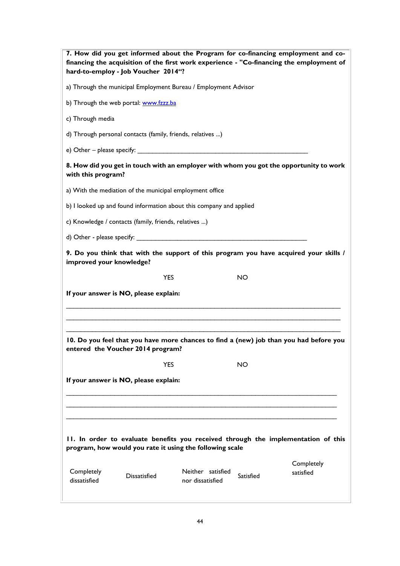| 7. How did you get informed about the Program for co-financing employment and co-<br>financing the acquisition of the first work experience - "Co-financing the employment of<br>hard-to-employ - Job Voucher 2014"? |            |                                       |           |                         |  |
|----------------------------------------------------------------------------------------------------------------------------------------------------------------------------------------------------------------------|------------|---------------------------------------|-----------|-------------------------|--|
| a) Through the municipal Employment Bureau / Employment Advisor                                                                                                                                                      |            |                                       |           |                         |  |
| b) Through the web portal: www.fzzz.ba                                                                                                                                                                               |            |                                       |           |                         |  |
| c) Through media                                                                                                                                                                                                     |            |                                       |           |                         |  |
| d) Through personal contacts (family, friends, relatives )                                                                                                                                                           |            |                                       |           |                         |  |
| e) Other – please specify: $\frac{1}{2}$                                                                                                                                                                             |            |                                       |           |                         |  |
| 8. How did you get in touch with an employer with whom you got the opportunity to work<br>with this program?                                                                                                         |            |                                       |           |                         |  |
| a) With the mediation of the municipal employment office                                                                                                                                                             |            |                                       |           |                         |  |
| b) I looked up and found information about this company and applied                                                                                                                                                  |            |                                       |           |                         |  |
| c) Knowledge / contacts (family, friends, relatives )                                                                                                                                                                |            |                                       |           |                         |  |
|                                                                                                                                                                                                                      |            |                                       |           |                         |  |
| 9. Do you think that with the support of this program you have acquired your skills /<br>improved your knowledge?                                                                                                    |            |                                       |           |                         |  |
|                                                                                                                                                                                                                      | <b>YES</b> |                                       | NO        |                         |  |
| If your answer is NO, please explain:                                                                                                                                                                                |            |                                       |           |                         |  |
| 10. Do you feel that you have more chances to find a (new) job than you had before you<br>entered the Voucher 2014 program?                                                                                          |            |                                       |           |                         |  |
|                                                                                                                                                                                                                      | <b>YES</b> |                                       | <b>NO</b> |                         |  |
| If your answer is NO, please explain:                                                                                                                                                                                |            |                                       |           |                         |  |
| 11. In order to evaluate benefits you received through the implementation of this<br>program, how would you rate it using the following scale                                                                        |            |                                       |           |                         |  |
| Completely<br><b>Dissatisfied</b><br>dissatisfied                                                                                                                                                                    |            | Neither satisfied<br>nor dissatisfied | Satisfied | Completely<br>satisfied |  |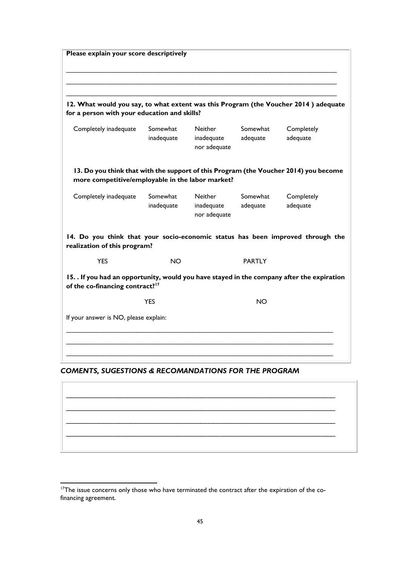**Please explain your score descriptively** \_\_\_\_\_\_\_\_\_\_\_\_\_\_\_\_\_\_\_\_\_\_\_\_\_\_\_\_\_\_\_\_\_\_\_\_\_\_\_\_\_\_\_\_\_\_\_\_\_\_\_\_\_\_\_\_\_\_\_\_\_\_\_\_\_\_\_\_\_\_\_\_\_ **12. What would you say, to what extent was this Program (the Voucher 2014 ) adequate for a person with your education and skills?**  Completely inadequate Somewhat inadequate Neither inadequate nor adequate Somewhat adequate **Completely** adequate **13. Do you think that with the support of this Program (the Voucher 2014) you become more competitive/employable in the labor market?** Completely inadequate Somewhat inadequate **Neither** inadequate nor adequate Somewhat adequate **Completely** adequate **14. Do you think that your socio-economic status has been improved through the realization of this program?** YES NO PARTLY **15. . If you had an opportunity, would you have stayed in the company after the expiration of the co-financing contract?<sup>17</sup> YES** NO If your answer is NO, please explain: \_\_\_\_\_\_\_\_\_\_\_\_\_\_\_\_\_\_\_\_\_\_\_\_\_\_\_\_\_\_\_\_\_\_\_\_\_\_\_\_\_\_\_\_\_\_\_\_\_\_\_\_\_\_\_\_\_\_\_\_\_\_\_\_\_\_\_\_\_\_\_\_ \_\_\_\_\_\_\_\_\_\_\_\_\_\_\_\_\_\_\_\_\_\_\_\_\_\_\_\_\_\_\_\_\_\_\_\_\_\_\_\_\_\_\_\_\_\_\_\_\_\_\_\_\_\_\_\_\_\_\_\_\_\_\_\_\_\_\_\_\_\_\_\_

#### *COMENTS, SUGESTIONS & RECOMANDATIONS FOR THE PROGRAM*

 $\mathcal{L}_\text{max}$  , and the contract of the contract of the contract of the contract of the contract of the contract of the contract of the contract of the contract of the contract of the contract of the contract of the contr  $\_$  , and the set of the set of the set of the set of the set of the set of the set of the set of the set of the set of the set of the set of the set of the set of the set of the set of the set of the set of the set of th  $\_$  , and the set of the set of the set of the set of the set of the set of the set of the set of the set of the set of the set of the set of the set of the set of the set of the set of the set of the set of the set of th  $\_$  , and the set of the set of the set of the set of the set of the set of the set of the set of the set of the set of the set of the set of the set of the set of the set of the set of the set of the set of the set of th

 $\overline{a}$ 

<sup>&</sup>lt;sup>17</sup>The issue concerns only those who have terminated the contract after the expiration of the cofinancing agreement.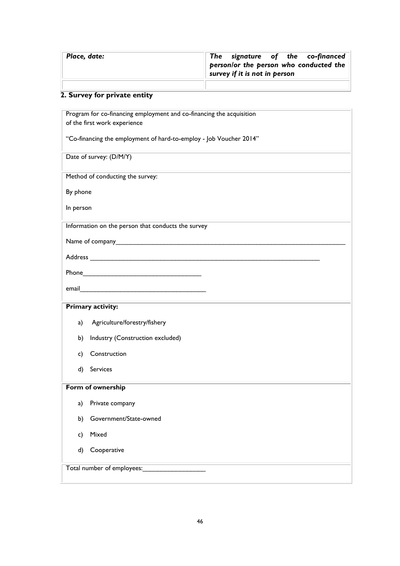| Place, date: | The signature of the co-financed<br>person/or the person who conducted the<br>survey if it is not in person |
|--------------|-------------------------------------------------------------------------------------------------------------|
|              |                                                                                                             |

# **2. Survey for private entity**

| Program for co-financing employment and co-financing the acquisition                                                                                                                                                           |
|--------------------------------------------------------------------------------------------------------------------------------------------------------------------------------------------------------------------------------|
| of the first work experience                                                                                                                                                                                                   |
| "Co-financing the employment of hard-to-employ - Job Voucher 2014"                                                                                                                                                             |
| Date of survey: (D/M/Y)                                                                                                                                                                                                        |
| Method of conducting the survey:                                                                                                                                                                                               |
| By phone                                                                                                                                                                                                                       |
| In person                                                                                                                                                                                                                      |
| Information on the person that conducts the survey                                                                                                                                                                             |
| Name of company and the state of company                                                                                                                                                                                       |
|                                                                                                                                                                                                                                |
| Phone Phone and the contract of the contract of the contract of the contract of the contract of the contract of the contract of the contract of the contract of the contract of the contract of the contract of the contract o |
| email and the contract of the contract of the contract of the contract of the contract of the contract of the                                                                                                                  |
| <b>Primary activity:</b>                                                                                                                                                                                                       |
| Agriculture/forestry/fishery<br>a)                                                                                                                                                                                             |
| Industry (Construction excluded)<br>b)                                                                                                                                                                                         |
| Construction<br>C)                                                                                                                                                                                                             |
| d) Services                                                                                                                                                                                                                    |
| Form of ownership                                                                                                                                                                                                              |
| Private company<br>a)                                                                                                                                                                                                          |
| Government/State-owned<br>b)                                                                                                                                                                                                   |
| Mixed<br>c)                                                                                                                                                                                                                    |
| Cooperative<br>d)                                                                                                                                                                                                              |
| Total number of employees:                                                                                                                                                                                                     |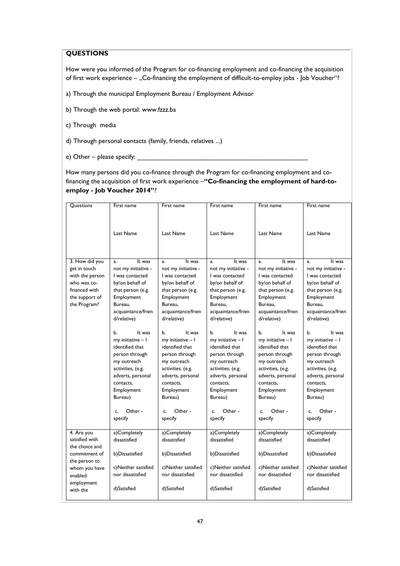#### **QUESTIONS**

How were you informed of the Program for co-financing employment and co-financing the acquisition of first work experience – "Co-financing the employment of difficult-to-employ jobs - Job Voucher"?

- a) Through the municipal Employment Bureau / Employment Advisor
- b) Through the web portal: www.fzzz.ba
- c) Through media
- d) Through personal contacts (family, friends, relatives ...)
- e) Other please specify:

How many persons did you co-finance through the Program for co-financing employment and cofinancing the acquisition of first work experience –**"Co-financing the employment of hard-toemploy - Job Voucher 2014"**?

| Questions              | First name                                                                                                                                                                                        | First name                                                                                                                                                                                        | First name                                                                                                                                                                                           | First name                                                                                                                                                                                        | First name                                                                                                                                                                                        |
|------------------------|---------------------------------------------------------------------------------------------------------------------------------------------------------------------------------------------------|---------------------------------------------------------------------------------------------------------------------------------------------------------------------------------------------------|------------------------------------------------------------------------------------------------------------------------------------------------------------------------------------------------------|---------------------------------------------------------------------------------------------------------------------------------------------------------------------------------------------------|---------------------------------------------------------------------------------------------------------------------------------------------------------------------------------------------------|
|                        | Last Name                                                                                                                                                                                         | Last Name                                                                                                                                                                                         | Last Name                                                                                                                                                                                            | Last Name                                                                                                                                                                                         | Last Name                                                                                                                                                                                         |
| 3. How did you         | It was<br>a <sub>x</sub>                                                                                                                                                                          | It was<br>a.                                                                                                                                                                                      | It was<br>a.                                                                                                                                                                                         | It was<br>a.                                                                                                                                                                                      | It was<br>a <sub>z</sub>                                                                                                                                                                          |
| get in touch           | not my initiative -                                                                                                                                                                               | not my initiative -                                                                                                                                                                               | not my initiative -                                                                                                                                                                                  | not my initiative -                                                                                                                                                                               | not my initiative -                                                                                                                                                                               |
| with the person        | I was contacted                                                                                                                                                                                   | I was contacted                                                                                                                                                                                   | I was contacted                                                                                                                                                                                      | I was contacted                                                                                                                                                                                   | I was contacted                                                                                                                                                                                   |
| who was co-            | by/on behalf of                                                                                                                                                                                   | by/on behalf of                                                                                                                                                                                   | by/on behalf of                                                                                                                                                                                      | by/on behalf of                                                                                                                                                                                   | by/on behalf of                                                                                                                                                                                   |
| financed with          | that person (e.g.                                                                                                                                                                                 | that person (e.g.                                                                                                                                                                                 | that person (e.g.                                                                                                                                                                                    | that person (e.g.                                                                                                                                                                                 | that person (e.g.                                                                                                                                                                                 |
| the support of         | Employment                                                                                                                                                                                        | Employment                                                                                                                                                                                        | Employment                                                                                                                                                                                           | Employment                                                                                                                                                                                        | Employment                                                                                                                                                                                        |
| the Program?           | Bureau.                                                                                                                                                                                           | Bureau.                                                                                                                                                                                           | Bureau.                                                                                                                                                                                              | Bureau.                                                                                                                                                                                           | Bureau.                                                                                                                                                                                           |
|                        | acquaintance/frien                                                                                                                                                                                | acquaintance/frien                                                                                                                                                                                | acquaintance/frien                                                                                                                                                                                   | acquaintance/frien                                                                                                                                                                                | acquaintance/frien                                                                                                                                                                                |
|                        | d/relative)                                                                                                                                                                                       | d/relative)                                                                                                                                                                                       | d/relative)                                                                                                                                                                                          | d/relative)                                                                                                                                                                                       | d/relative)                                                                                                                                                                                       |
|                        | b.<br>It was<br>my initiative - I<br>identified that<br>person through<br>my outreach<br>activities, (e.g.<br>adverts, personal<br>contacts.<br>Employment<br>Bureau)<br>Other -<br>C.<br>specify | It was<br>b.<br>my initiative - I<br>identified that<br>person through<br>my outreach<br>activities, (e.g.<br>adverts, personal<br>contacts.<br>Employment<br>Bureau)<br>Other -<br>c.<br>specify | b.<br>It was<br>$my$ initiative $-1$<br>identified that<br>person through<br>my outreach<br>activities, (e.g.<br>adverts, personal<br>contacts.<br>Employment<br>Bureau)<br>Other -<br>c.<br>specify | It was<br>b.<br>my initiative - I<br>identified that<br>person through<br>my outreach<br>activities, (e.g.<br>adverts, personal<br>contacts.<br>Employment<br>Bureau)<br>Other -<br>c.<br>specify | b.<br>It was<br>my initiative - I<br>identified that<br>person through<br>my outreach<br>activities, (e.g.<br>adverts, personal<br>contacts.<br>Employment<br>Bureau)<br>Other -<br>C.<br>specify |
| 4. Are you             | a)Completely                                                                                                                                                                                      | a)Completely                                                                                                                                                                                      | a)Completely                                                                                                                                                                                         | a)Completely                                                                                                                                                                                      | a)Completely                                                                                                                                                                                      |
| satisfied with         | dissatisfied                                                                                                                                                                                      | dissatisfied                                                                                                                                                                                      | dissatisfied                                                                                                                                                                                         | dissatisfied                                                                                                                                                                                      | dissatisfied                                                                                                                                                                                      |
| the choice and         |                                                                                                                                                                                                   |                                                                                                                                                                                                   |                                                                                                                                                                                                      |                                                                                                                                                                                                   |                                                                                                                                                                                                   |
| commitment of          | b) Dissatisfied                                                                                                                                                                                   | b)Dissatisfied                                                                                                                                                                                    | b) Dissatisfied                                                                                                                                                                                      | b)Dissatisfied                                                                                                                                                                                    | b)Dissatisfied                                                                                                                                                                                    |
| the person to          |                                                                                                                                                                                                   |                                                                                                                                                                                                   |                                                                                                                                                                                                      |                                                                                                                                                                                                   |                                                                                                                                                                                                   |
| whom you have          | c)Neither satisfied                                                                                                                                                                               | c)Neither satisfied<br>nor dissatisfied                                                                                                                                                           | c)Neither satisfied<br>nor dissatisfied                                                                                                                                                              | c)Neither satisfied<br>nor dissatisfied                                                                                                                                                           | c)Neither satisfied<br>nor dissatisfied                                                                                                                                                           |
| enabled                | nor dissatisfied                                                                                                                                                                                  |                                                                                                                                                                                                   |                                                                                                                                                                                                      |                                                                                                                                                                                                   |                                                                                                                                                                                                   |
| employment<br>with the | d)Satisfied                                                                                                                                                                                       | d)Satisfied                                                                                                                                                                                       | d)Satisfied                                                                                                                                                                                          | d)Satisfied                                                                                                                                                                                       | d)Satisfied                                                                                                                                                                                       |
|                        |                                                                                                                                                                                                   |                                                                                                                                                                                                   |                                                                                                                                                                                                      |                                                                                                                                                                                                   |                                                                                                                                                                                                   |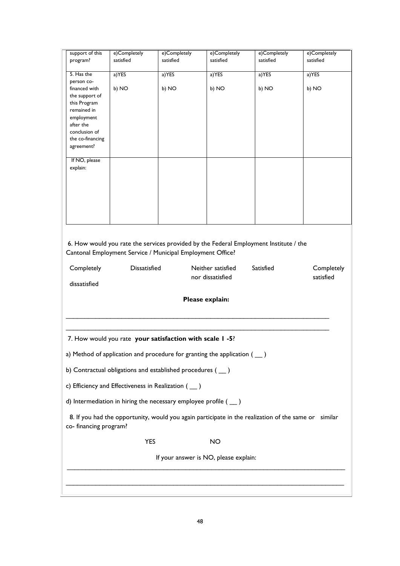| support of this                                                                                                                | e)Completely                                                                                                                                        | e)Completely                                               | e)Completely                                                               | e)Completely | e)Completely |  |
|--------------------------------------------------------------------------------------------------------------------------------|-----------------------------------------------------------------------------------------------------------------------------------------------------|------------------------------------------------------------|----------------------------------------------------------------------------|--------------|--------------|--|
| program?                                                                                                                       | satisfied                                                                                                                                           | satisfied                                                  | satisfied                                                                  | satisfied    | satisfied    |  |
| 5. Has the                                                                                                                     |                                                                                                                                                     |                                                            |                                                                            |              |              |  |
| person co-                                                                                                                     | a) YES                                                                                                                                              | a) YES                                                     | a) YES                                                                     | a) YES       | a) YES       |  |
| financed with                                                                                                                  | b) NO                                                                                                                                               | b) NO                                                      | b) NO                                                                      | b) NO        | b) NO        |  |
| the support of                                                                                                                 |                                                                                                                                                     |                                                            |                                                                            |              |              |  |
| this Program                                                                                                                   |                                                                                                                                                     |                                                            |                                                                            |              |              |  |
| remained in                                                                                                                    |                                                                                                                                                     |                                                            |                                                                            |              |              |  |
| employment                                                                                                                     |                                                                                                                                                     |                                                            |                                                                            |              |              |  |
| after the<br>conclusion of                                                                                                     |                                                                                                                                                     |                                                            |                                                                            |              |              |  |
| the co-financing                                                                                                               |                                                                                                                                                     |                                                            |                                                                            |              |              |  |
| agreement?                                                                                                                     |                                                                                                                                                     |                                                            |                                                                            |              |              |  |
|                                                                                                                                |                                                                                                                                                     |                                                            |                                                                            |              |              |  |
| If NO, please                                                                                                                  |                                                                                                                                                     |                                                            |                                                                            |              |              |  |
| explain:                                                                                                                       |                                                                                                                                                     |                                                            |                                                                            |              |              |  |
|                                                                                                                                |                                                                                                                                                     |                                                            |                                                                            |              |              |  |
|                                                                                                                                |                                                                                                                                                     |                                                            |                                                                            |              |              |  |
|                                                                                                                                |                                                                                                                                                     |                                                            |                                                                            |              |              |  |
|                                                                                                                                |                                                                                                                                                     |                                                            |                                                                            |              |              |  |
|                                                                                                                                |                                                                                                                                                     |                                                            |                                                                            |              |              |  |
|                                                                                                                                |                                                                                                                                                     |                                                            |                                                                            |              |              |  |
|                                                                                                                                | 6. How would you rate the services provided by the Federal Employment Institute / the<br>Cantonal Employment Service / Municipal Employment Office? |                                                            |                                                                            |              |              |  |
| Completely                                                                                                                     | <b>Dissatisfied</b>                                                                                                                                 |                                                            | Neither satisfied                                                          | Satisfied    | Completely   |  |
|                                                                                                                                |                                                                                                                                                     |                                                            | nor dissatisfied                                                           |              | satisfied    |  |
| dissatisfied                                                                                                                   |                                                                                                                                                     |                                                            |                                                                            |              |              |  |
| Please explain:                                                                                                                |                                                                                                                                                     |                                                            |                                                                            |              |              |  |
| 7. How would you rate your satisfaction with scale I-5?                                                                        |                                                                                                                                                     |                                                            |                                                                            |              |              |  |
|                                                                                                                                |                                                                                                                                                     |                                                            | a) Method of application and procedure for granting the application ( __ ) |              |              |  |
|                                                                                                                                |                                                                                                                                                     | b) Contractual obligations and established procedures (__) |                                                                            |              |              |  |
| c) Efficiency and Effectiveness in Realization (__)                                                                            |                                                                                                                                                     |                                                            |                                                                            |              |              |  |
| d) Intermediation in hiring the necessary employee profile $($ $\)$                                                            |                                                                                                                                                     |                                                            |                                                                            |              |              |  |
| 8. If you had the opportunity, would you again participate in the realization of the same or similar<br>co- financing program? |                                                                                                                                                     |                                                            |                                                                            |              |              |  |
|                                                                                                                                | <b>YES</b>                                                                                                                                          |                                                            | <b>NO</b>                                                                  |              |              |  |
|                                                                                                                                | If your answer is NO, please explain:                                                                                                               |                                                            |                                                                            |              |              |  |
|                                                                                                                                |                                                                                                                                                     |                                                            |                                                                            |              |              |  |
|                                                                                                                                |                                                                                                                                                     |                                                            |                                                                            |              |              |  |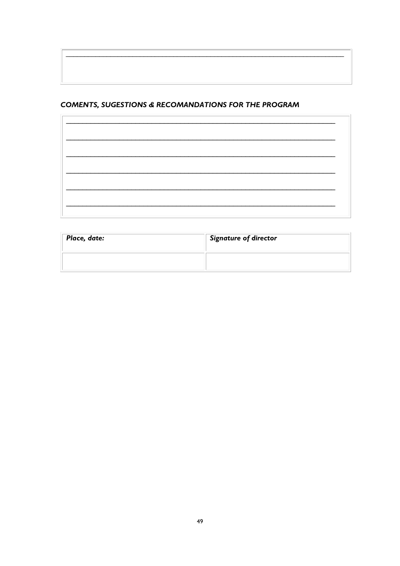### **COMENTS, SUGESTIONS & RECOMANDATIONS FOR THE PROGRAM**

| the control of the control of the control of the control of the control of the control of the control of the control of the control of the control of the control of the control of the control of the control of the control |  |
|-------------------------------------------------------------------------------------------------------------------------------------------------------------------------------------------------------------------------------|--|

| Place, date: | Signature of director |
|--------------|-----------------------|
|              |                       |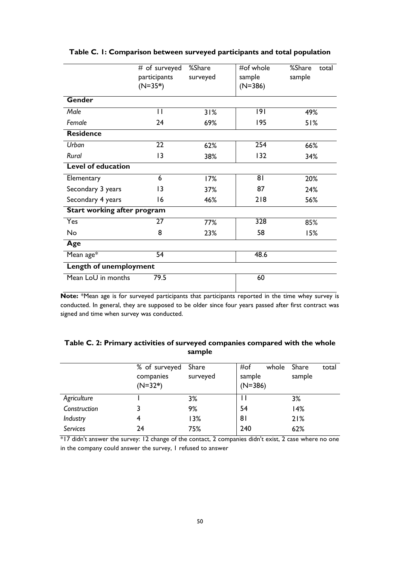|                                    | # of surveyed<br>participants | %Share<br>surveyed | #of whole<br>sample | %Share<br>total<br>sample |
|------------------------------------|-------------------------------|--------------------|---------------------|---------------------------|
|                                    | $(N=35*)$                     |                    | $(N=386)$           |                           |
| <b>Gender</b>                      |                               |                    |                     |                           |
| Male                               | П                             | 31%                | 191                 | 49%                       |
| Female                             | 24                            | 69%                | 195                 | 51%                       |
| <b>Residence</b>                   |                               |                    |                     |                           |
| Urban                              | 22                            | 62%                | 254                 | 66%                       |
| Rural                              | 3                             | 38%                | 132                 | 34%                       |
| <b>Level of education</b>          |                               |                    |                     |                           |
| Elementary                         | 6                             | 17%                | 81                  | 20%                       |
| Secondary 3 years                  | 3                             | 37%                | 87                  | 24%                       |
| Secondary 4 years                  | 16                            | 46%                | 218                 | 56%                       |
| <b>Start working after program</b> |                               |                    |                     |                           |
| Yes                                | 27                            | 77%                | 328                 | 85%                       |
| No                                 | 8                             | 23%                | 58                  | 15%                       |
| Age                                |                               |                    |                     |                           |
| Mean age*                          | $\overline{54}$               |                    | 48.6                |                           |
| Length of unemployment             |                               |                    |                     |                           |
| Mean LoU in months                 | 79.5                          |                    | 60                  |                           |

#### <span id="page-50-0"></span>**Table C. 1: Comparison between surveyed participants and total population**

**Note:** \*Mean age is for surveyed participants that participants reported in the time whey survey is conducted. In general, they are supposed to be older since four years passed after first contract was signed and time when survey was conducted.

#### <span id="page-50-1"></span>**Table C. 2: Primary activities of surveyed companies compared with the whole sample**

|              | % of surveyed<br>companies<br>$(N=32*)$ | Share<br>surveyed | #of<br>whole<br>sample<br>$(N=386)$ | Share<br>total<br>sample |
|--------------|-----------------------------------------|-------------------|-------------------------------------|--------------------------|
| Agriculture  |                                         | 3%                |                                     | 3%                       |
| Construction |                                         | 9%                | 54                                  | 14%                      |
| Industry     | 4                                       | 13%               | 8 <sub>l</sub>                      | 21%                      |
| Services     | 24                                      | 75%               | 240                                 | 62%                      |

\*17 didn't answer the survey: 12 change of the contact, 2 companies didn't exist, 2 case where no one in the company could answer the survey, 1 refused to answer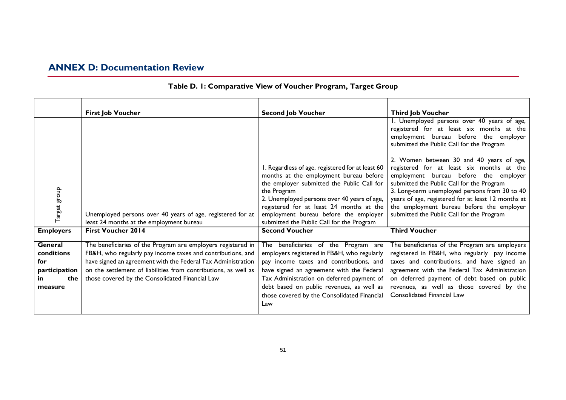# **ANNEX D: Documentation Review**

<span id="page-51-0"></span>

|                                                                       | <b>First Job Voucher</b>                                                                                                                                                                                                                                                                                          | <b>Second Job Voucher</b>                                                                                                                                                                                                                                                                                                                | <b>Third Job Voucher</b>                                                                                                                                                                                                                                                                                                                                                                                                                                                                                                                                       |
|-----------------------------------------------------------------------|-------------------------------------------------------------------------------------------------------------------------------------------------------------------------------------------------------------------------------------------------------------------------------------------------------------------|------------------------------------------------------------------------------------------------------------------------------------------------------------------------------------------------------------------------------------------------------------------------------------------------------------------------------------------|----------------------------------------------------------------------------------------------------------------------------------------------------------------------------------------------------------------------------------------------------------------------------------------------------------------------------------------------------------------------------------------------------------------------------------------------------------------------------------------------------------------------------------------------------------------|
| Target group                                                          | Unemployed persons over 40 years of age, registered for at<br>least 24 months at the employment bureau                                                                                                                                                                                                            | I. Regardless of age, registered for at least 60<br>months at the employment bureau before<br>the employer submitted the Public Call for<br>the Program<br>2. Unemployed persons over 40 years of age,<br>registered for at least 24 months at the<br>employment bureau before the employer<br>submitted the Public Call for the Program | 1. Unemployed persons over 40 years of age,<br>registered for at least six months at the<br>employment bureau before the employer<br>submitted the Public Call for the Program<br>2. Women between 30 and 40 years of age,<br>registered for at least six months at the<br>employment bureau before the employer<br>submitted the Public Call for the Program<br>3. Long-term unemployed persons from 30 to 40<br>years of age, registered for at least 12 months at<br>the employment bureau before the employer<br>submitted the Public Call for the Program |
| <b>Employers</b>                                                      | <b>First Voucher 2014</b>                                                                                                                                                                                                                                                                                         | <b>Second Voucher</b>                                                                                                                                                                                                                                                                                                                    | <b>Third Voucher</b>                                                                                                                                                                                                                                                                                                                                                                                                                                                                                                                                           |
| General<br>conditions<br>for<br>participation<br>the<br>in<br>measure | The beneficiaries of the Program are employers registered in<br>FB&H, who regularly pay income taxes and contributions, and<br>have signed an agreement with the Federal Tax Administration<br>on the settlement of liabilities from contributions, as well as<br>those covered by the Consolidated Financial Law | The beneficiaries of the Program are<br>employers registered in FB&H, who regularly<br>pay income taxes and contributions, and<br>have signed an agreement with the Federal<br>Tax Administration on deferred payment of<br>debt based on public revenues, as well as<br>those covered by the Consolidated Financial<br>Law              | The beneficiaries of the Program are employers<br>registered in FB&H, who regularly pay income<br>taxes and contributions, and have signed an<br>agreement with the Federal Tax Administration<br>on deferred payment of debt based on public<br>revenues, as well as those covered by the<br>Consolidated Financial Law                                                                                                                                                                                                                                       |

### **Table D. 1: Comparative View of Voucher Program, Target Group**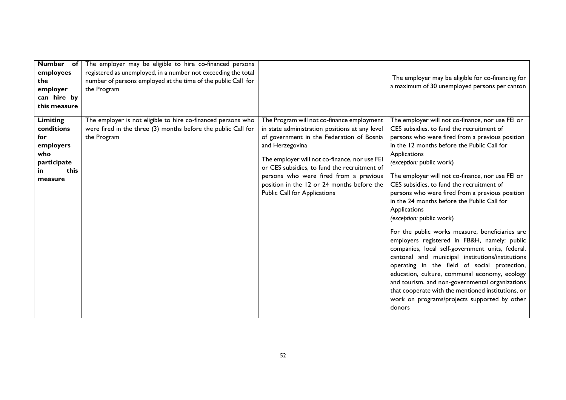| Number of<br>employees<br>the<br>employer<br>can hire by<br>this measure                          | The employer may be eligible to hire co-financed persons<br>registered as unemployed, in a number not exceeding the total<br>number of persons employed at the time of the public Call for<br>the Program |                                                                                                                                                                                                                                                                                                                                                                                       | The employer may be eligible for co-financing for<br>a maximum of 30 unemployed persons per canton                                                                                                                                                                                                                                                                                                                                                                                                                                                                                                                                                                                                                                                                                                                                                                                                                                                                        |
|---------------------------------------------------------------------------------------------------|-----------------------------------------------------------------------------------------------------------------------------------------------------------------------------------------------------------|---------------------------------------------------------------------------------------------------------------------------------------------------------------------------------------------------------------------------------------------------------------------------------------------------------------------------------------------------------------------------------------|---------------------------------------------------------------------------------------------------------------------------------------------------------------------------------------------------------------------------------------------------------------------------------------------------------------------------------------------------------------------------------------------------------------------------------------------------------------------------------------------------------------------------------------------------------------------------------------------------------------------------------------------------------------------------------------------------------------------------------------------------------------------------------------------------------------------------------------------------------------------------------------------------------------------------------------------------------------------------|
| <b>Limiting</b><br>conditions<br>for<br>employers<br>who<br>participate<br>this<br>in.<br>measure | The employer is not eligible to hire co-financed persons who<br>were fired in the three (3) months before the public Call for<br>the Program                                                              | The Program will not co-finance employment<br>in state administration positions at any level<br>of government in the Federation of Bosnia<br>and Herzegovina<br>The employer will not co-finance, nor use FEI<br>or CES subsidies, to fund the recruitment of<br>persons who were fired from a previous<br>position in the 12 or 24 months before the<br>Public Call for Applications | The employer will not co-finance, nor use FEI or<br>CES subsidies, to fund the recruitment of<br>persons who were fired from a previous position<br>in the 12 months before the Public Call for<br>Applications<br>(exception: public work)<br>The employer will not co-finance, nor use FEI or<br>CES subsidies, to fund the recruitment of<br>persons who were fired from a previous position<br>in the 24 months before the Public Call for<br>Applications<br>(exception: public work)<br>For the public works measure, beneficiaries are<br>employers registered in FB&H, namely: public<br>companies, local self-government units, federal,<br>cantonal and municipal institutions/institutions<br>operating in the field of social protection,<br>education, culture, communal economy, ecology<br>and tourism, and non-governmental organizations<br>that cooperate with the mentioned institutions, or<br>work on programs/projects supported by other<br>donors |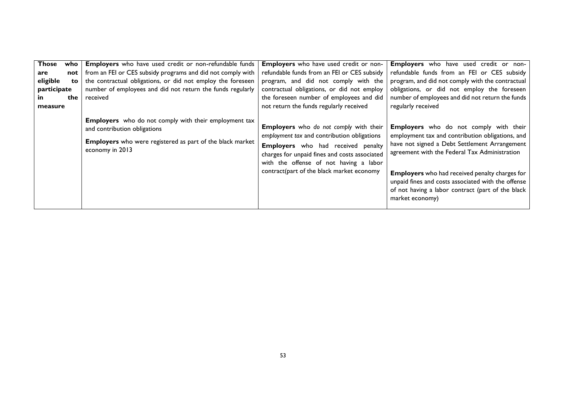<span id="page-53-0"></span>

| <b>Those</b><br>are<br>eligible<br>participate<br>in.<br>measure | who<br>not<br>to.<br>the | Employers who have used credit or non-refundable funds<br>from an FEI or CES subsidy programs and did not comply with<br>the contractual obligations, or did not employ the foreseen<br>number of employees and did not return the funds regularly<br>received | Employers who have used credit or non-<br>refundable funds from an FEI or CES subsidy<br>program, and did not comply with the<br>contractual obligations, or did not employ<br>the foreseen number of employees and did<br>not return the funds regularly received         | Employers who have used credit or non-<br>refundable funds from an FEI or CES subsidy<br>program, and did not comply with the contractual<br>obligations, or did not employ the foreseen<br>number of employees and did not return the funds<br>regularly received                                                                                                                         |
|------------------------------------------------------------------|--------------------------|----------------------------------------------------------------------------------------------------------------------------------------------------------------------------------------------------------------------------------------------------------------|----------------------------------------------------------------------------------------------------------------------------------------------------------------------------------------------------------------------------------------------------------------------------|--------------------------------------------------------------------------------------------------------------------------------------------------------------------------------------------------------------------------------------------------------------------------------------------------------------------------------------------------------------------------------------------|
|                                                                  |                          | Employers who do not comply with their employment tax<br>and contribution obligations<br><b>Employers</b> who were registered as part of the black market<br>economy in 2013                                                                                   | Employers who do not comply with their<br>employment tax and contribution obligations<br><b>Employers</b> who had received penalty<br>charges for unpaid fines and costs associated<br>with the offense of not having a labor<br>contract(part of the black market economy | <b>Employers</b> who do not comply with their<br>employment tax and contribution obligations, and<br>have not signed a Debt Settlement Arrangement<br>agreement with the Federal Tax Administration<br><b>Employers</b> who had received penalty charges for<br>unpaid fines and costs associated with the offense<br>of not having a labor contract (part of the black<br>market economy) |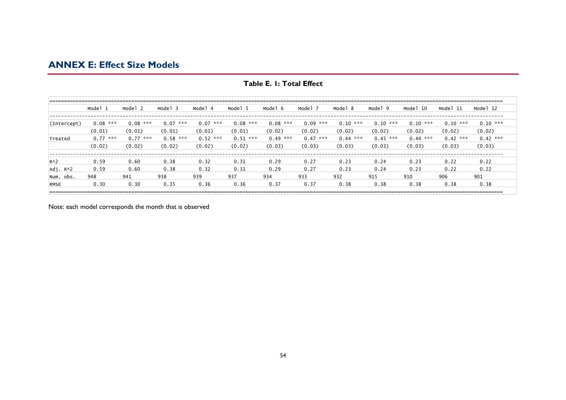### **ANNEX E: Effect Size Models**

|             | Model<br>$\overline{1}$ | Mode <sup>1</sup> | Model 3     | Model       | Model 5     | - 6<br>Model | Mode <sup>-</sup> | Model 8     | q<br>Model  | 10<br>Model | - 11<br>Model | Model 12    |
|-------------|-------------------------|-------------------|-------------|-------------|-------------|--------------|-------------------|-------------|-------------|-------------|---------------|-------------|
|             |                         |                   |             |             |             |              |                   |             |             |             |               |             |
| (Intercept) | 0.08<br>***             | ***<br>0.08       | 0.07<br>*** | 0.07<br>*** | 0.08<br>*** | 0.08<br>***  | 0.09<br>***       | 0.10<br>*** | ***<br>0.10 | 0.10<br>*** | 0.10<br>***   | $0.10$ ***  |
|             | (0.01)                  | (0.01)            | (0.01)      | (0.01)      | (0.01)      | (0.02)       | (0.02)            | (0.02)      | (0.02)      | (0.02)      | (0.02)        | (0.02)      |
| Treated     | 0.77<br>***             | 0.77<br>***       | $0.58$ ***  | 0.52<br>*** | 0.51<br>*** | 0.49<br>***  | 0.47<br>***       | ***<br>0.44 | 0.45<br>*** | 0.44<br>*** | 0.42<br>***   | ***<br>0.42 |
|             | (0.02)                  | (0.02)            | (0.02)      | (0.02)      | (0.02)      | (0.03)       | (0.03)            | (0.03)      | (0.03)      | (0.03)      | (0.03)        | (0.03)      |
|             |                         |                   |             |             |             |              |                   |             |             |             |               |             |
| $R^2$       | 0.59                    | 0.60              | 0.38        | 0.32        | 0.31        | 0.29         | 0.27              | 0.23        | 0.24        | 0.23        | 0.22          | 0.22        |
| Adj. RA2    | 0.59                    | 0.60              | 0.38        | 0.32        | 0.31        | 0.29         | 0.27              | 0.23        | 0.24        | 0.23        | 0.22          | 0.22        |
| Num. obs.   | 948                     | 941               | 938         | 939         | 937         | 934          | 933               | 932         | 915         | 910         | 906           | 901         |
| <b>RMSE</b> | 0.30                    | 0.30              | 0.35        | 0.36        | 0.36        | 0.37         | 0.37              | 0.38        | 0.38        | 0.38        | 0.38          | 0.38        |
|             |                         |                   |             |             |             |              |                   |             |             |             |               |             |

**Table E. 1: Total Effect**

Note: each model corresponds the month that is observed